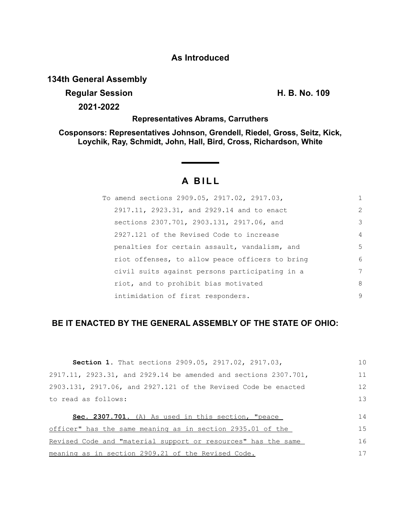## **As Introduced**

## **134th General Assembly**

## **Regular Session H. B. No. 109**

**2021-2022**

### **Representatives Abrams, Carruthers**

**Cosponsors: Representatives Johnson, Grendell, Riedel, Gross, Seitz, Kick, Loychik, Ray, Schmidt, John, Hall, Bird, Cross, Richardson, White**

# **A BILL**

| To amend sections 2909.05, 2917.02, 2917.03,    | 1              |
|-------------------------------------------------|----------------|
| 2917.11, 2923.31, and 2929.14 and to enact      | $\overline{2}$ |
| sections 2307.701, 2903.131, 2917.06, and       | 3              |
| 2927.121 of the Revised Code to increase        | 4              |
| penalties for certain assault, vandalism, and   | 5              |
| riot offenses, to allow peace officers to bring | 6              |
| civil suits against persons participating in a  | 7              |
| riot, and to prohibit bias motivated            | 8              |
| intimidation of first responders.               | 9              |

## **BE IT ENACTED BY THE GENERAL ASSEMBLY OF THE STATE OF OHIO:**

| Section 1. That sections 2909.05, 2917.02, 2917.03,             | 1 <sub>0</sub> |
|-----------------------------------------------------------------|----------------|
| 2917.11, 2923.31, and 2929.14 be amended and sections 2307.701, | 11             |
| 2903.131, 2917.06, and 2927.121 of the Revised Code be enacted  | 12             |
| to read as follows:                                             | 13             |
|                                                                 |                |
| Sec. 2307.701. (A) As used in this section, "peace              | 14             |
| officer" has the same meaning as in section 2935.01 of the      | 1.5            |
| Revised Code and "material support or resources" has the same   | 16             |
| meaning as in section 2909.21 of the Revised Code.              | 17             |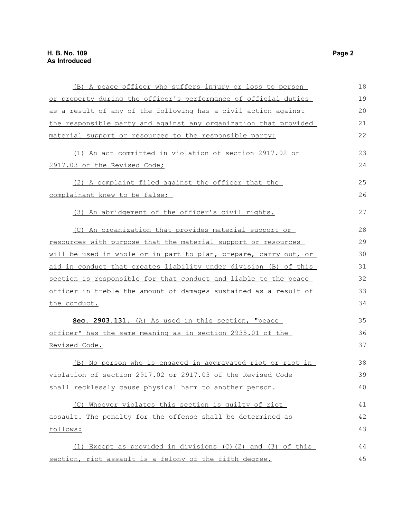| (B) A peace officer who suffers injury or loss to person            | 18 |
|---------------------------------------------------------------------|----|
| or property during the officer's performance of official duties     | 19 |
| as a result of any of the following has a civil action against      | 20 |
| the responsible party and against any organization that provided    | 21 |
| material support or resources to the responsible party:             | 22 |
| (1) An act committed in violation of section 2917.02 or             | 23 |
| 2917.03 of the Revised Code;                                        | 24 |
| (2) A complaint filed against the officer that the                  | 25 |
| complainant knew to be false;                                       | 26 |
| (3) An abridgement of the officer's civil rights.                   | 27 |
| (C) An organization that provides material support or               | 28 |
| resources with purpose that the material support or resources       | 29 |
| will be used in whole or in part to plan, prepare, carry out, or    | 30 |
| aid in conduct that creates liability under division (B) of this    | 31 |
| section is responsible for that conduct and liable to the peace     | 32 |
| officer in treble the amount of damages sustained as a result of    | 33 |
| the conduct.                                                        | 34 |
| Sec. 2903.131. (A) As used in this section, "peace                  | 35 |
| officer" has the same meaning as in section 2935.01 of the          | 36 |
| Revised Code.                                                       | 37 |
| (B) No person who is engaged in aggravated riot or riot in          | 38 |
| violation of section 2917.02 or 2917.03 of the Revised Code         | 39 |
| shall recklessly cause physical harm to another person.             | 40 |
| (C) Whoever violates this section is quilty of riot                 | 41 |
| assault. The penalty for the offense shall be determined as         | 42 |
| follows:                                                            | 43 |
| $(1)$ Except as provided in divisions $(C)$ $(2)$ and $(3)$ of this | 44 |
| section, riot assault is a felony of the fifth degree.              | 45 |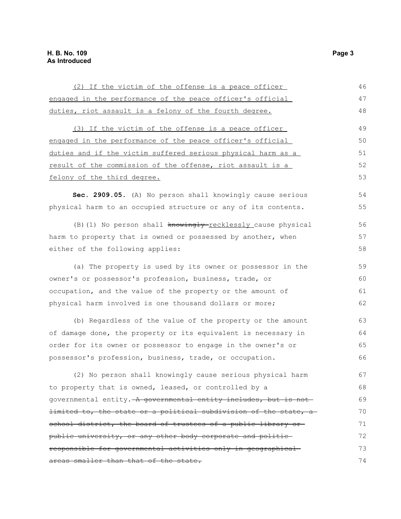| (2) If the victim of the offense is a peace officer                         | 46 |
|-----------------------------------------------------------------------------|----|
| engaged in the performance of the peace officer's official                  | 47 |
| duties, riot assault is a felony of the fourth degree.                      | 48 |
| (3) If the victim of the offense is a peace officer                         | 49 |
| engaged in the performance of the peace officer's official                  | 50 |
| duties and if the victim suffered serious physical harm as a                | 51 |
| result of the commission of the offense, riot assault is a                  | 52 |
| felony of the third degree.                                                 | 53 |
| Sec. 2909.05. (A) No person shall knowingly cause serious                   | 54 |
| physical harm to an occupied structure or any of its contents.              | 55 |
| (B) (1) No person shall knowingly-recklessly cause physical                 | 56 |
| harm to property that is owned or possessed by another, when                | 57 |
| either of the following applies:                                            | 58 |
| (a) The property is used by its owner or possessor in the                   | 59 |
| owner's or possessor's profession, business, trade, or                      | 60 |
| occupation, and the value of the property or the amount of                  | 61 |
| physical harm involved is one thousand dollars or more;                     | 62 |
| (b) Regardless of the value of the property or the amount                   | 63 |
| of damage done, the property or its equivalent is necessary in              | 64 |
| order for its owner or possessor to engage in the owner's or                | 65 |
| possessor's profession, business, trade, or occupation.                     | 66 |
| (2) No person shall knowingly cause serious physical harm                   | 67 |
| to property that is owned, leased, or controlled by a                       | 68 |
| governmental entity. A governmental entity includes, but is not             | 69 |
| <del>limited to, the state or a political subdivision of the state, a</del> | 70 |
| school district, the board of trustees of a public library or-              | 71 |
| public university, or any other body corporate and politic-                 | 72 |
| responsible for governmental activities only in geographical                | 73 |
| areas smaller than that of the state.                                       | 74 |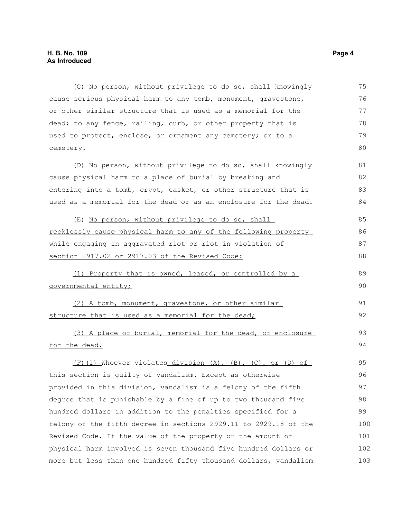(C) No person, without privilege to do so, shall knowingly cause serious physical harm to any tomb, monument, gravestone, or other similar structure that is used as a memorial for the dead; to any fence, railing, curb, or other property that is used to protect, enclose, or ornament any cemetery; or to a cemetery. (D) No person, without privilege to do so, shall knowingly cause physical harm to a place of burial by breaking and entering into a tomb, crypt, casket, or other structure that is used as a memorial for the dead or as an enclosure for the dead. (E) No person, without privilege to do so, shall recklessly cause physical harm to any of the following property while engaging in aggravated riot or riot in violation of section 2917.02 or 2917.03 of the Revised Code: (1) Property that is owned, leased, or controlled by a governmental entity; (2) A tomb, monument, gravestone, or other similar structure that is used as a memorial for the dead; (3) A place of burial, memorial for the dead, or enclosure for the dead. (F)(1) Whoever violates division (A), (B), (C), or (D) of this section is guilty of vandalism. Except as otherwise provided in this division, vandalism is a felony of the fifth degree that is punishable by a fine of up to two thousand five hundred dollars in addition to the penalties specified for a felony of the fifth degree in sections 2929.11 to 2929.18 of the Revised Code. If the value of the property or the amount of physical harm involved is seven thousand five hundred dollars or 75 76 77 78 79 80 81 82 83 84 85 86 87 88 89 90 91 92 93 94 95 96 97 98 99 100 101 102

more but less than one hundred fifty thousand dollars, vandalism 103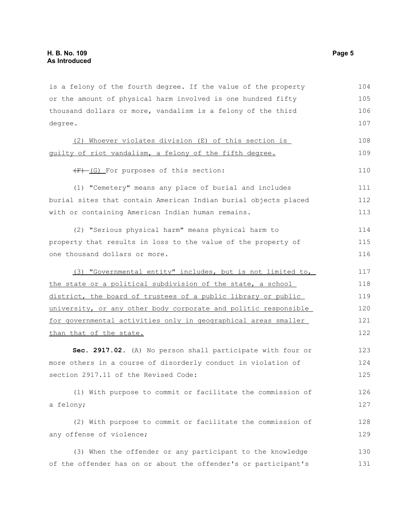| is a felony of the fourth degree. If the value of the property  | 104 |
|-----------------------------------------------------------------|-----|
| or the amount of physical harm involved is one hundred fifty    | 105 |
| thousand dollars or more, vandalism is a felony of the third    | 106 |
| degree.                                                         | 107 |
| (2) Whoever violates division (E) of this section is            | 108 |
| guilty of riot vandalism, a felony of the fifth degree.         | 109 |
| (F)-(G) For purposes of this section:                           | 110 |
| (1) "Cemetery" means any place of burial and includes           | 111 |
| burial sites that contain American Indian burial objects placed | 112 |
| with or containing American Indian human remains.               | 113 |
| (2) "Serious physical harm" means physical harm to              | 114 |
| property that results in loss to the value of the property of   | 115 |
| one thousand dollars or more.                                   | 116 |
| (3) "Governmental entity" includes, but is not limited to,      | 117 |
| the state or a political subdivision of the state, a school     | 118 |
| district, the board of trustees of a public library or public   | 119 |
| university, or any other body corporate and politic responsible | 120 |
| for governmental activities only in geographical areas smaller  | 121 |
| than that of the state.                                         | 122 |
| Sec. 2917.02. (A) No person shall participate with four or      | 123 |
| more others in a course of disorderly conduct in violation of   | 124 |
| section 2917.11 of the Revised Code:                            | 125 |
| (1) With purpose to commit or facilitate the commission of      | 126 |
| a felony;                                                       | 127 |
| (2) With purpose to commit or facilitate the commission of      | 128 |
| any offense of violence;                                        | 129 |
|                                                                 |     |
| (3) When the offender or any participant to the knowledge       | 130 |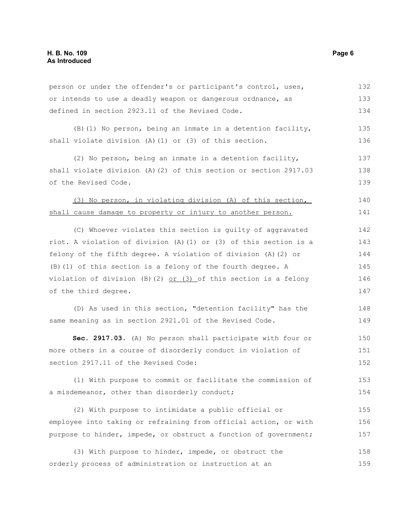person or under the offender's or participant's control, uses, or intends to use a deadly weapon or dangerous ordnance, as defined in section 2923.11 of the Revised Code. 132 133 134

(B)(1) No person, being an inmate in a detention facility, shall violate division (A)(1) or (3) of this section. 135 136

(2) No person, being an inmate in a detention facility, shall violate division (A)(2) of this section or section 2917.03 of the Revised Code. 137 138 139

(3) No person, in violating division (A) of this section, shall cause damage to property or injury to another person. 140 141

(C) Whoever violates this section is guilty of aggravated riot. A violation of division (A)(1) or (3) of this section is a felony of the fifth degree. A violation of division (A)(2) or (B)(1) of this section is a felony of the fourth degree. A violation of division (B)(2)  $or$  (3) of this section is a felony of the third degree. 142 143 144 145 146 147

(D) As used in this section, "detention facility" has the same meaning as in section 2921.01 of the Revised Code. 148 149

**Sec. 2917.03.** (A) No person shall participate with four or more others in a course of disorderly conduct in violation of section 2917.11 of the Revised Code: 150 151 152

(1) With purpose to commit or facilitate the commission of a misdemeanor, other than disorderly conduct; 153 154

(2) With purpose to intimidate a public official or employee into taking or refraining from official action, or with purpose to hinder, impede, or obstruct a function of government; 155 156 157

(3) With purpose to hinder, impede, or obstruct the orderly process of administration or instruction at an 158 159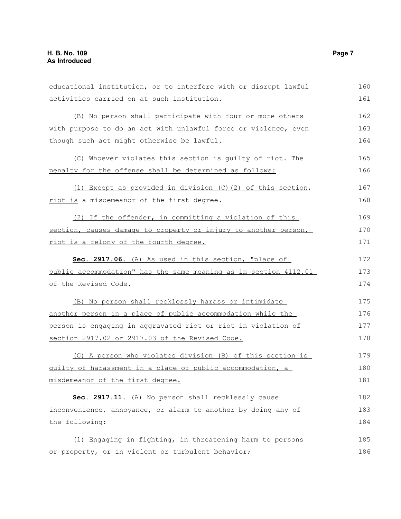| educational institution, or to interfere with or disrupt lawful  | 160 |
|------------------------------------------------------------------|-----|
| activities carried on at such institution.                       | 161 |
| (B) No person shall participate with four or more others         | 162 |
| with purpose to do an act with unlawful force or violence, even  | 163 |
| though such act might otherwise be lawful.                       | 164 |
| (C) Whoever violates this section is guilty of riot. The         | 165 |
| penalty for the offense shall be determined as follows:          | 166 |
| (1) Except as provided in division (C)(2) of this section,       | 167 |
| riot is a misdemeanor of the first degree.                       | 168 |
| (2) If the offender, in committing a violation of this           | 169 |
| section, causes damage to property or injury to another person,  | 170 |
| riot is a felony of the fourth degree.                           | 171 |
| Sec. 2917.06. (A) As used in this section, "place of             | 172 |
| public accommodation" has the same meaning as in section 4112.01 | 173 |
| of the Revised Code.                                             | 174 |
| (B) No person shall recklessly harass or intimidate              | 175 |
| another person in a place of public accommodation while the      | 176 |
| person is engaging in aggravated riot or riot in violation of    | 177 |
| section 2917.02 or 2917.03 of the Revised Code.                  | 178 |
| (C) A person who violates division (B) of this section is        | 179 |
| guilty of harassment in a place of public accommodation, a       | 180 |
| misdemeanor of the first degree.                                 | 181 |
| Sec. 2917.11. (A) No person shall recklessly cause               | 182 |
| inconvenience, annoyance, or alarm to another by doing any of    | 183 |
| the following:                                                   | 184 |
| (1) Engaging in fighting, in threatening harm to persons         | 185 |
| or property, or in violent or turbulent behavior;                | 186 |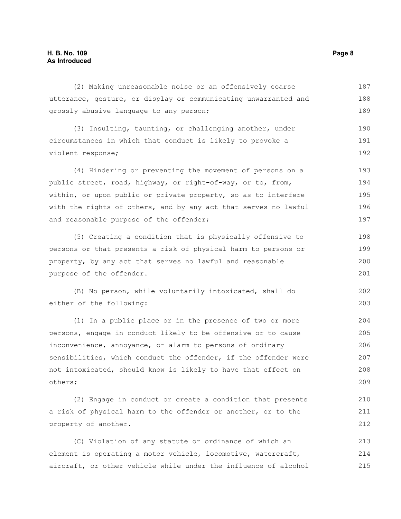#### **H. B. No. 109 Page 8 As Introduced**

(2) Making unreasonable noise or an offensively coarse utterance, gesture, or display or communicating unwarranted and grossly abusive language to any person; (3) Insulting, taunting, or challenging another, under circumstances in which that conduct is likely to provoke a violent response; (4) Hindering or preventing the movement of persons on a public street, road, highway, or right-of-way, or to, from, within, or upon public or private property, so as to interfere with the rights of others, and by any act that serves no lawful and reasonable purpose of the offender; (5) Creating a condition that is physically offensive to persons or that presents a risk of physical harm to persons or property, by any act that serves no lawful and reasonable purpose of the offender. (B) No person, while voluntarily intoxicated, shall do either of the following: (1) In a public place or in the presence of two or more persons, engage in conduct likely to be offensive or to cause inconvenience, annoyance, or alarm to persons of ordinary sensibilities, which conduct the offender, if the offender were not intoxicated, should know is likely to have that effect on others; (2) Engage in conduct or create a condition that presents 187 188 189 190 191 192 193 194 195 196 197 198 199 200 201 202 203 204 205 206 207 208 209 210

a risk of physical harm to the offender or another, or to the property of another. 211 212

(C) Violation of any statute or ordinance of which an element is operating a motor vehicle, locomotive, watercraft, aircraft, or other vehicle while under the influence of alcohol 213 214 215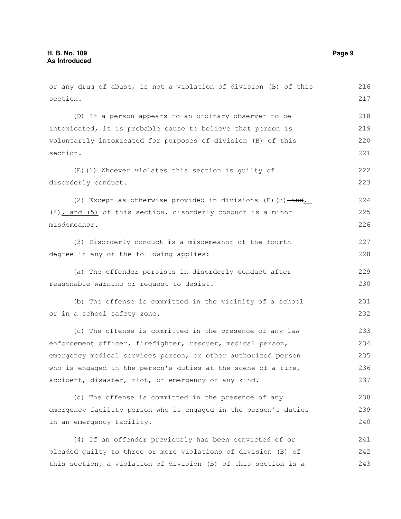or any drug of abuse, is not a violation of division (B) of this section. (D) If a person appears to an ordinary observer to be intoxicated, it is probable cause to believe that person is voluntarily intoxicated for purposes of division (B) of this section. (E)(1) Whoever violates this section is guilty of disorderly conduct. (2) Except as otherwise provided in divisions  $(E)$  (3)  $-\text{and}$ (4), and (5) of this section, disorderly conduct is a minor misdemeanor. (3) Disorderly conduct is a misdemeanor of the fourth degree if any of the following applies: (a) The offender persists in disorderly conduct after reasonable warning or request to desist. (b) The offense is committed in the vicinity of a school or in a school safety zone. (c) The offense is committed in the presence of any law enforcement officer, firefighter, rescuer, medical person, emergency medical services person, or other authorized person who is engaged in the person's duties at the scene of a fire, accident, disaster, riot, or emergency of any kind. (d) The offense is committed in the presence of any emergency facility person who is engaged in the person's duties in an emergency facility. (4) If an offender previously has been convicted of or pleaded guilty to three or more violations of division (B) of this section, a violation of division (B) of this section is a 216 217 218 219 220 221 222 223 224 225 226 227 228 229 230 231 232 233 234 235 236 237 238 239 240 241 242 243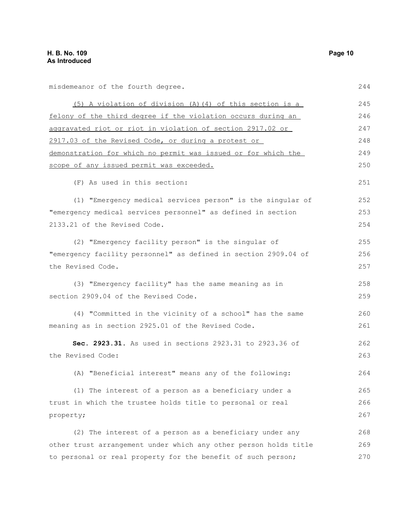misdemeanor of the fourth degree.

| (5) A violation of division (A)(4) of this section is a          | 245 |
|------------------------------------------------------------------|-----|
| felony of the third degree if the violation occurs during an     | 246 |
| aggravated riot or riot in violation of section 2917.02 or       | 247 |
| 2917.03 of the Revised Code, or during a protest or              | 248 |
| demonstration for which no permit was issued or for which the    | 249 |
| scope of any issued permit was exceeded.                         | 250 |
| (F) As used in this section:                                     | 251 |
| (1) "Emergency medical services person" is the singular of       | 252 |
| "emergency medical services personnel" as defined in section     | 253 |
| 2133.21 of the Revised Code.                                     | 254 |
| (2) "Emergency facility person" is the singular of               | 255 |
| "emergency facility personnel" as defined in section 2909.04 of  | 256 |
| the Revised Code.                                                | 257 |
| (3) "Emergency facility" has the same meaning as in              | 258 |
| section 2909.04 of the Revised Code.                             | 259 |
| (4) "Committed in the vicinity of a school" has the same         | 260 |
| meaning as in section 2925.01 of the Revised Code.               | 261 |
| Sec. 2923.31. As used in sections 2923.31 to 2923.36 of          | 262 |
| the Revised Code:                                                | 263 |
| (A) "Beneficial interest" means any of the following:            | 264 |
| (1) The interest of a person as a beneficiary under a            | 265 |
| trust in which the trustee holds title to personal or real       | 266 |
| property;                                                        | 267 |
| (2) The interest of a person as a beneficiary under any          | 268 |
| other trust arrangement under which any other person holds title | 269 |
| to personal or real property for the benefit of such person;     | 270 |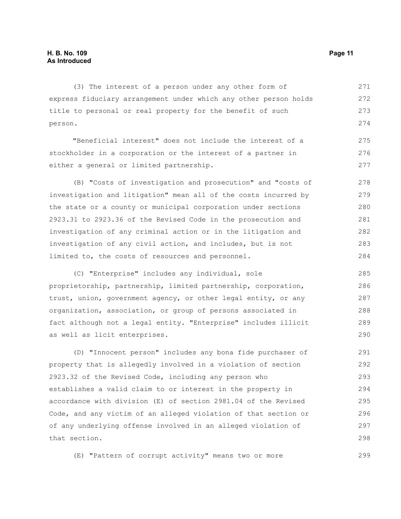(3) The interest of a person under any other form of express fiduciary arrangement under which any other person holds title to personal or real property for the benefit of such person. 271 272 273 274

"Beneficial interest" does not include the interest of a stockholder in a corporation or the interest of a partner in either a general or limited partnership. 275 276 277

(B) "Costs of investigation and prosecution" and "costs of investigation and litigation" mean all of the costs incurred by the state or a county or municipal corporation under sections 2923.31 to 2923.36 of the Revised Code in the prosecution and investigation of any criminal action or in the litigation and investigation of any civil action, and includes, but is not limited to, the costs of resources and personnel. 278 279 280 281 282 283 284

(C) "Enterprise" includes any individual, sole proprietorship, partnership, limited partnership, corporation, trust, union, government agency, or other legal entity, or any organization, association, or group of persons associated in fact although not a legal entity. "Enterprise" includes illicit as well as licit enterprises. 285 286 287 288 289 290

(D) "Innocent person" includes any bona fide purchaser of property that is allegedly involved in a violation of section 2923.32 of the Revised Code, including any person who establishes a valid claim to or interest in the property in accordance with division (E) of section 2981.04 of the Revised Code, and any victim of an alleged violation of that section or of any underlying offense involved in an alleged violation of that section. 291 292 293 294 295 296 297 298

(E) "Pattern of corrupt activity" means two or more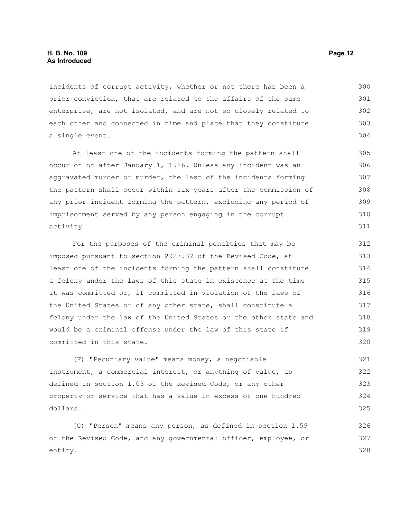#### **H. B. No. 109 Page 12 As Introduced**

incidents of corrupt activity, whether or not there has been a prior conviction, that are related to the affairs of the same enterprise, are not isolated, and are not so closely related to each other and connected in time and place that they constitute a single event. 300 301 302 303 304

At least one of the incidents forming the pattern shall occur on or after January 1, 1986. Unless any incident was an aggravated murder or murder, the last of the incidents forming the pattern shall occur within six years after the commission of any prior incident forming the pattern, excluding any period of imprisonment served by any person engaging in the corrupt activity.

For the purposes of the criminal penalties that may be imposed pursuant to section 2923.32 of the Revised Code, at least one of the incidents forming the pattern shall constitute a felony under the laws of this state in existence at the time it was committed or, if committed in violation of the laws of the United States or of any other state, shall constitute a felony under the law of the United States or the other state and would be a criminal offense under the law of this state if committed in this state. 312 313 314 315 316 317 318 319 320

(F) "Pecuniary value" means money, a negotiable instrument, a commercial interest, or anything of value, as defined in section 1.03 of the Revised Code, or any other property or service that has a value in excess of one hundred dollars. 321 322 323 324 325

(G) "Person" means any person, as defined in section 1.59 of the Revised Code, and any governmental officer, employee, or entity. 326 327 328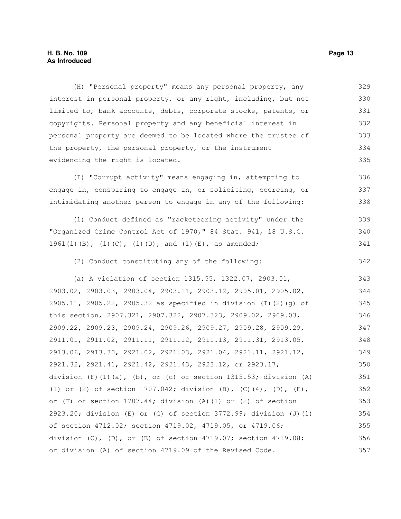#### **H. B. No. 109 Page 13 As Introduced**

(H) "Personal property" means any personal property, any interest in personal property, or any right, including, but not limited to, bank accounts, debts, corporate stocks, patents, or copyrights. Personal property and any beneficial interest in personal property are deemed to be located where the trustee of the property, the personal property, or the instrument evidencing the right is located. 329 330 331 332 333 334 335

(I) "Corrupt activity" means engaging in, attempting to engage in, conspiring to engage in, or soliciting, coercing, or intimidating another person to engage in any of the following: 336 337 338

(1) Conduct defined as "racketeering activity" under the "Organized Crime Control Act of 1970," 84 Stat. 941, 18 U.S.C. 1961(1)(B), (1)(C), (1)(D), and (1)(E), as amended; 339 340 341

(2) Conduct constituting any of the following:

(a) A violation of section 1315.55, 1322.07, 2903.01, 2903.02, 2903.03, 2903.04, 2903.11, 2903.12, 2905.01, 2905.02, 2905.11, 2905.22, 2905.32 as specified in division (I)(2)(g) of this section, 2907.321, 2907.322, 2907.323, 2909.02, 2909.03, 2909.22, 2909.23, 2909.24, 2909.26, 2909.27, 2909.28, 2909.29, 2911.01, 2911.02, 2911.11, 2911.12, 2911.13, 2911.31, 2913.05, 2913.06, 2913.30, 2921.02, 2921.03, 2921.04, 2921.11, 2921.12, 2921.32, 2921.41, 2921.42, 2921.43, 2923.12, or 2923.17; division  $(F)$  (1)(a), (b), or (c) of section 1315.53; division (A) (1) or (2) of section 1707.042; division (B), (C)(4), (D), (E), or (F) of section 1707.44; division (A)(1) or (2) of section 2923.20; division (E) or (G) of section 3772.99; division (J)(1) of section 4712.02; section 4719.02, 4719.05, or 4719.06; division (C), (D), or (E) of section 4719.07; section 4719.08; or division (A) of section 4719.09 of the Revised Code. 343 344 345 346 347 348 349 350 351 352 353 354 355 356 357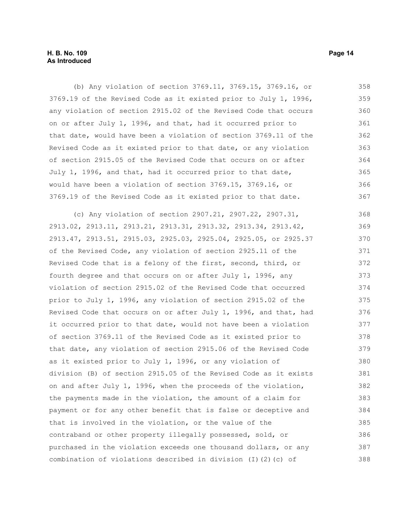(b) Any violation of section 3769.11, 3769.15, 3769.16, or 3769.19 of the Revised Code as it existed prior to July 1, 1996, any violation of section 2915.02 of the Revised Code that occurs on or after July 1, 1996, and that, had it occurred prior to that date, would have been a violation of section 3769.11 of the Revised Code as it existed prior to that date, or any violation of section 2915.05 of the Revised Code that occurs on or after July 1, 1996, and that, had it occurred prior to that date, would have been a violation of section 3769.15, 3769.16, or 3769.19 of the Revised Code as it existed prior to that date. 358 359 360 361 362 363 364 365 366 367

(c) Any violation of section 2907.21, 2907.22, 2907.31, 2913.02, 2913.11, 2913.21, 2913.31, 2913.32, 2913.34, 2913.42, 2913.47, 2913.51, 2915.03, 2925.03, 2925.04, 2925.05, or 2925.37 of the Revised Code, any violation of section 2925.11 of the Revised Code that is a felony of the first, second, third, or fourth degree and that occurs on or after July 1, 1996, any violation of section 2915.02 of the Revised Code that occurred prior to July 1, 1996, any violation of section 2915.02 of the Revised Code that occurs on or after July 1, 1996, and that, had it occurred prior to that date, would not have been a violation of section 3769.11 of the Revised Code as it existed prior to that date, any violation of section 2915.06 of the Revised Code as it existed prior to July 1, 1996, or any violation of division (B) of section 2915.05 of the Revised Code as it exists on and after July 1, 1996, when the proceeds of the violation, the payments made in the violation, the amount of a claim for payment or for any other benefit that is false or deceptive and that is involved in the violation, or the value of the contraband or other property illegally possessed, sold, or purchased in the violation exceeds one thousand dollars, or any combination of violations described in division (I)(2)(c) of 368 369 370 371 372 373 374 375 376 377 378 379 380 381 382 383 384 385 386 387 388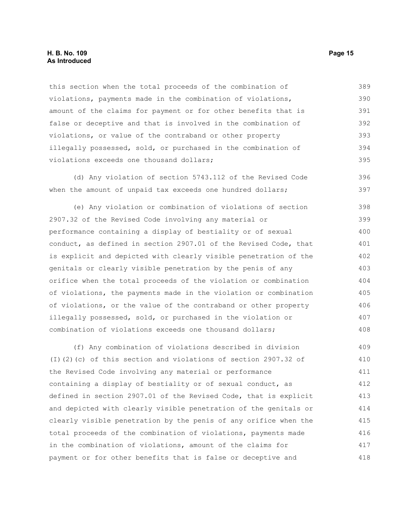this section when the total proceeds of the combination of violations, payments made in the combination of violations, amount of the claims for payment or for other benefits that is false or deceptive and that is involved in the combination of violations, or value of the contraband or other property illegally possessed, sold, or purchased in the combination of violations exceeds one thousand dollars; 389 390 391 392 393 394 395

(d) Any violation of section 5743.112 of the Revised Code when the amount of unpaid tax exceeds one hundred dollars; 396 397

(e) Any violation or combination of violations of section 2907.32 of the Revised Code involving any material or performance containing a display of bestiality or of sexual conduct, as defined in section 2907.01 of the Revised Code, that is explicit and depicted with clearly visible penetration of the genitals or clearly visible penetration by the penis of any orifice when the total proceeds of the violation or combination of violations, the payments made in the violation or combination of violations, or the value of the contraband or other property illegally possessed, sold, or purchased in the violation or combination of violations exceeds one thousand dollars; 398 399 400 401 402 403 404 405 406 407 408

(f) Any combination of violations described in division (I)(2)(c) of this section and violations of section 2907.32 of the Revised Code involving any material or performance containing a display of bestiality or of sexual conduct, as defined in section 2907.01 of the Revised Code, that is explicit and depicted with clearly visible penetration of the genitals or clearly visible penetration by the penis of any orifice when the total proceeds of the combination of violations, payments made in the combination of violations, amount of the claims for payment or for other benefits that is false or deceptive and 409 410 411 412 413 414 415 416 417 418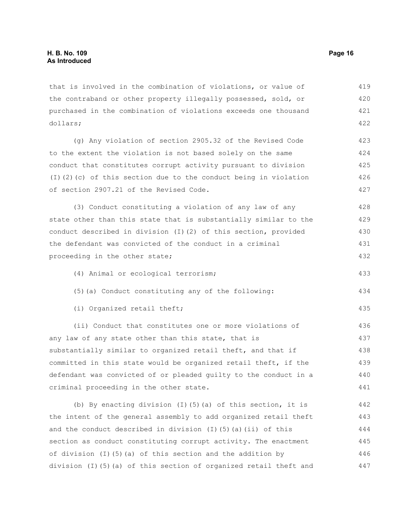that is involved in the combination of violations, or value of the contraband or other property illegally possessed, sold, or purchased in the combination of violations exceeds one thousand dollars; 419 420 421 422

(g) Any violation of section 2905.32 of the Revised Code to the extent the violation is not based solely on the same conduct that constitutes corrupt activity pursuant to division (I)(2)(c) of this section due to the conduct being in violation of section 2907.21 of the Revised Code. 423 424 425 426 427

(3) Conduct constituting a violation of any law of any state other than this state that is substantially similar to the conduct described in division (I)(2) of this section, provided the defendant was convicted of the conduct in a criminal proceeding in the other state; 428 429 430 431 432

- (4) Animal or ecological terrorism;
- (5)(a) Conduct constituting any of the following:
- (i) Organized retail theft;

(ii) Conduct that constitutes one or more violations of any law of any state other than this state, that is substantially similar to organized retail theft, and that if committed in this state would be organized retail theft, if the defendant was convicted of or pleaded guilty to the conduct in a criminal proceeding in the other state. 436 437 438 439 440 441

(b) By enacting division (I)(5)(a) of this section, it is the intent of the general assembly to add organized retail theft and the conduct described in division (I)(5)(a)(ii) of this section as conduct constituting corrupt activity. The enactment of division (I)(5)(a) of this section and the addition by division (I)(5)(a) of this section of organized retail theft and 442 443 444 445 446 447

433

434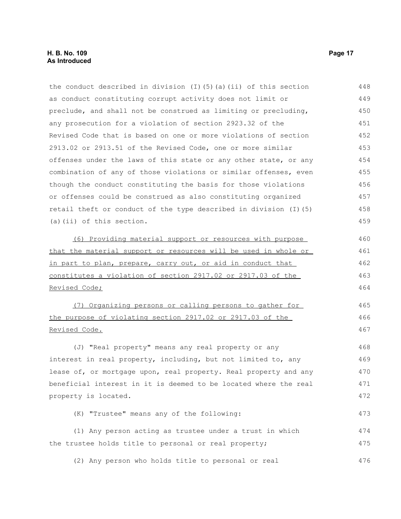| the conduct described in division $(I)$ $(5)$ $(a)$ $(ii)$ of this section | 448 |
|----------------------------------------------------------------------------|-----|
| as conduct constituting corrupt activity does not limit or                 | 449 |
| preclude, and shall not be construed as limiting or precluding,            | 450 |
| any prosecution for a violation of section 2923.32 of the                  | 451 |
| Revised Code that is based on one or more violations of section            | 452 |
| 2913.02 or 2913.51 of the Revised Code, one or more similar                | 453 |
| offenses under the laws of this state or any other state, or any           | 454 |
| combination of any of those violations or similar offenses, even           | 455 |
| though the conduct constituting the basis for those violations             | 456 |
| or offenses could be construed as also constituting organized              | 457 |
| retail theft or conduct of the type described in division (I) (5)          | 458 |
| (a) (ii) of this section.                                                  | 459 |
| (6) Providing material support or resources with purpose                   | 460 |
| that the material support or resources will be used in whole or            | 461 |
| in part to plan, prepare, carry out, or aid in conduct that                | 462 |
| <u>constitutes a violation of section 2917.02 or 2917.03 of the</u>        | 463 |
| <u>Revised Code;</u>                                                       | 464 |
| (7) Organizing persons or calling persons to gather for                    | 465 |
| the purpose of violating section 2917.02 or 2917.03 of the                 | 466 |
| <u>Revised Code.</u>                                                       | 467 |
| (J) "Real property" means any real property or any                         | 468 |
| interest in real property, including, but not limited to, any              | 469 |
| lease of, or mortgage upon, real property. Real property and any           | 470 |
| beneficial interest in it is deemed to be located where the real           | 471 |
| property is located.                                                       | 472 |
| (K) "Trustee" means any of the following:                                  | 473 |
| (1) Any person acting as trustee under a trust in which                    | 474 |
| the trustee holds title to personal or real property;                      | 475 |
| (2) Any person who holds title to personal or real                         | 476 |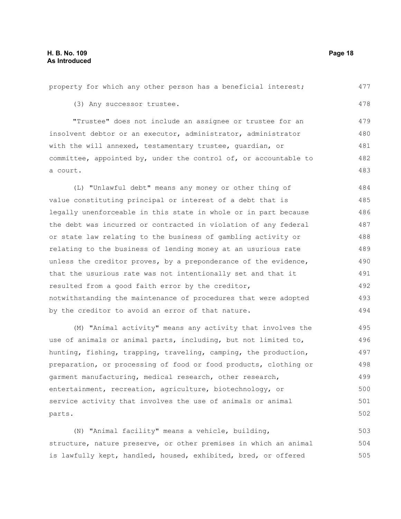property for which any other person has a beneficial interest; (3) Any successor trustee. "Trustee" does not include an assignee or trustee for an insolvent debtor or an executor, administrator, administrator with the will annexed, testamentary trustee, guardian, or committee, appointed by, under the control of, or accountable to a court. (L) "Unlawful debt" means any money or other thing of value constituting principal or interest of a debt that is legally unenforceable in this state in whole or in part because the debt was incurred or contracted in violation of any federal or state law relating to the business of gambling activity or relating to the business of lending money at an usurious rate unless the creditor proves, by a preponderance of the evidence, that the usurious rate was not intentionally set and that it resulted from a good faith error by the creditor, notwithstanding the maintenance of procedures that were adopted by the creditor to avoid an error of that nature. (M) "Animal activity" means any activity that involves the use of animals or animal parts, including, but not limited to, hunting, fishing, trapping, traveling, camping, the production, preparation, or processing of food or food products, clothing or 477 478 479 480 481 482 483 484 485 486 487 488 489 490 491 492 493 494 495 496 497 498

garment manufacturing, medical research, other research, entertainment, recreation, agriculture, biotechnology, or service activity that involves the use of animals or animal parts. 499 500 501 502

(N) "Animal facility" means a vehicle, building, structure, nature preserve, or other premises in which an animal is lawfully kept, handled, housed, exhibited, bred, or offered 503 504 505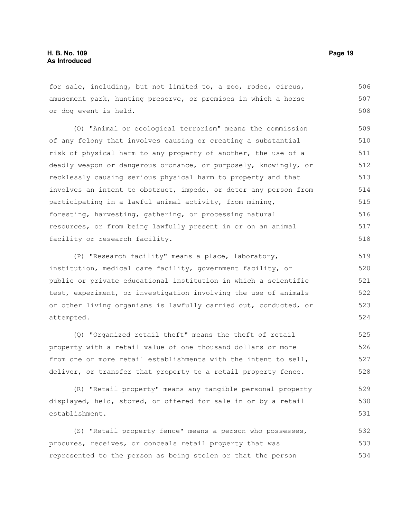for sale, including, but not limited to, a zoo, rodeo, circus, amusement park, hunting preserve, or premises in which a horse or dog event is held. 506 507 508

(O) "Animal or ecological terrorism" means the commission of any felony that involves causing or creating a substantial risk of physical harm to any property of another, the use of a deadly weapon or dangerous ordnance, or purposely, knowingly, or recklessly causing serious physical harm to property and that involves an intent to obstruct, impede, or deter any person from participating in a lawful animal activity, from mining, foresting, harvesting, gathering, or processing natural resources, or from being lawfully present in or on an animal facility or research facility. 509 510 511 512 513 514 515 516 517 518

(P) "Research facility" means a place, laboratory, institution, medical care facility, government facility, or public or private educational institution in which a scientific test, experiment, or investigation involving the use of animals or other living organisms is lawfully carried out, conducted, or attempted. 519 520 521 522 523 524

(Q) "Organized retail theft" means the theft of retail property with a retail value of one thousand dollars or more from one or more retail establishments with the intent to sell, deliver, or transfer that property to a retail property fence. 525 526 527 528

(R) "Retail property" means any tangible personal property displayed, held, stored, or offered for sale in or by a retail establishment. 529 530 531

(S) "Retail property fence" means a person who possesses, procures, receives, or conceals retail property that was represented to the person as being stolen or that the person 532 533 534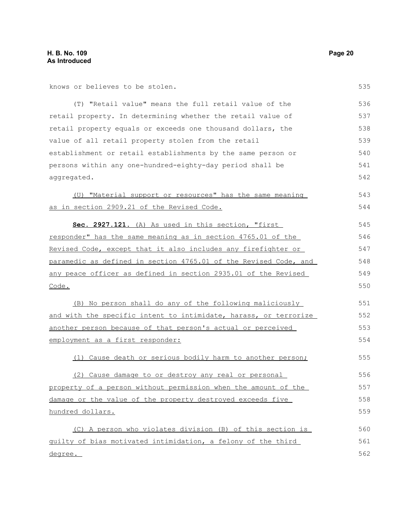knows or believes to be stolen.

| (T) "Retail value" means the full retail value of the            | 536 |
|------------------------------------------------------------------|-----|
| retail property. In determining whether the retail value of      | 537 |
| retail property equals or exceeds one thousand dollars, the      | 538 |
| value of all retail property stolen from the retail              | 539 |
| establishment or retail establishments by the same person or     | 540 |
| persons within any one-hundred-eighty-day period shall be        | 541 |
| aggregated.                                                      | 542 |
| (U) "Material support or resources" has the same meaning         | 543 |
| as in section 2909.21 of the Revised Code.                       | 544 |
| Sec. 2927.121. (A) As used in this section, "first               | 545 |
| responder" has the same meaning as in section 4765.01 of the     | 546 |
| Revised Code, except that it also includes any firefighter or    | 547 |
| paramedic as defined in section 4765.01 of the Revised Code, and | 548 |
| any peace officer as defined in section 2935.01 of the Revised   | 549 |
| Code.                                                            | 550 |
| (B) No person shall do any of the following maliciously          | 551 |
| and with the specific intent to intimidate, harass, or terrorize | 552 |
| another person because of that person's actual or perceived      | 553 |
| employment as a first responder:                                 | 554 |
| (1) Cause death or serious bodily harm to another person;        | 555 |
| (2) Cause damage to or destroy any real or personal              | 556 |
| property of a person without permission when the amount of the   | 557 |
| damage or the value of the property destroyed exceeds five       | 558 |
| hundred dollars.                                                 | 559 |
| (C) A person who violates division (B) of this section is        | 560 |
| guilty of bias motivated intimidation, a felony of the third     | 561 |
| <u>degree.</u>                                                   | 562 |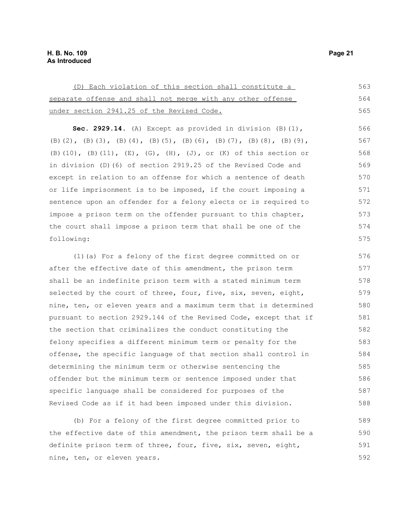| (D) Each violation of this section shall constitute a       | 563 |
|-------------------------------------------------------------|-----|
| separate offense and shall not merge with any other offense | 564 |
| under section 2941.25 of the Revised Code.                  | 565 |

**Sec. 2929.14.** (A) Except as provided in division (B)(1), (B)(2), (B)(3), (B)(4), (B)(5), (B)(6), (B)(7), (B)(8), (B)(9), (B)(10), (B)(11), (E), (G), (H), (J), or (K) of this section or in division (D)(6) of section 2919.25 of the Revised Code and except in relation to an offense for which a sentence of death or life imprisonment is to be imposed, if the court imposing a sentence upon an offender for a felony elects or is required to impose a prison term on the offender pursuant to this chapter, the court shall impose a prison term that shall be one of the following: 566 567 568 569 570 571 572 573 574 575

(1)(a) For a felony of the first degree committed on or after the effective date of this amendment, the prison term shall be an indefinite prison term with a stated minimum term selected by the court of three, four, five, six, seven, eight, nine, ten, or eleven years and a maximum term that is determined pursuant to section 2929.144 of the Revised Code, except that if the section that criminalizes the conduct constituting the felony specifies a different minimum term or penalty for the offense, the specific language of that section shall control in determining the minimum term or otherwise sentencing the offender but the minimum term or sentence imposed under that specific language shall be considered for purposes of the Revised Code as if it had been imposed under this division. 576 577 578 579 580 581 582 583 584 585 586 587 588

(b) For a felony of the first degree committed prior to the effective date of this amendment, the prison term shall be a definite prison term of three, four, five, six, seven, eight, nine, ten, or eleven years. 589 590 591 592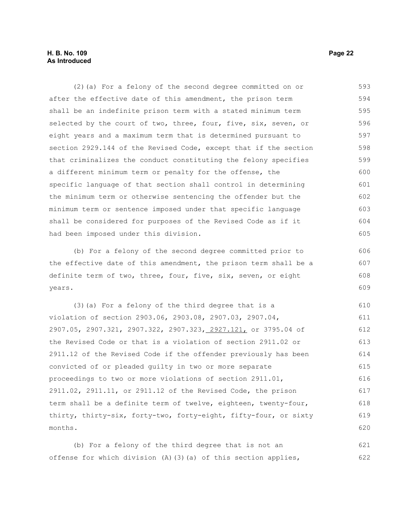#### **H. B. No. 109 Page 22 As Introduced**

(2)(a) For a felony of the second degree committed on or after the effective date of this amendment, the prison term shall be an indefinite prison term with a stated minimum term selected by the court of two, three, four, five, six, seven, or eight years and a maximum term that is determined pursuant to section 2929.144 of the Revised Code, except that if the section that criminalizes the conduct constituting the felony specifies a different minimum term or penalty for the offense, the specific language of that section shall control in determining the minimum term or otherwise sentencing the offender but the minimum term or sentence imposed under that specific language shall be considered for purposes of the Revised Code as if it had been imposed under this division. 593 594 595 596 597 598 599 600 601 602 603 604 605

(b) For a felony of the second degree committed prior to the effective date of this amendment, the prison term shall be a definite term of two, three, four, five, six, seven, or eight years. 606 607 608 609

(3)(a) For a felony of the third degree that is a violation of section 2903.06, 2903.08, 2907.03, 2907.04, 2907.05, 2907.321, 2907.322, 2907.323, 2927.121, or 3795.04 of the Revised Code or that is a violation of section 2911.02 or 2911.12 of the Revised Code if the offender previously has been convicted of or pleaded guilty in two or more separate proceedings to two or more violations of section 2911.01, 2911.02, 2911.11, or 2911.12 of the Revised Code, the prison term shall be a definite term of twelve, eighteen, twenty-four, thirty, thirty-six, forty-two, forty-eight, fifty-four, or sixty months. 610 611 612 613 614 615 616 617 618 619 620

(b) For a felony of the third degree that is not an offense for which division (A)(3)(a) of this section applies, 621 622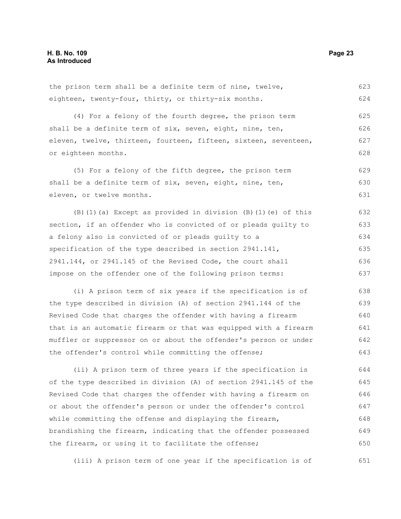the prison term shall be a definite term of nine, twelve, eighteen, twenty-four, thirty, or thirty-six months. 623 624

(4) For a felony of the fourth degree, the prison term shall be a definite term of six, seven, eight, nine, ten, eleven, twelve, thirteen, fourteen, fifteen, sixteen, seventeen, or eighteen months. 625 626 627 628

(5) For a felony of the fifth degree, the prison term shall be a definite term of six, seven, eight, nine, ten, eleven, or twelve months. 629 630 631

(B)(1)(a) Except as provided in division (B)(1)(e) of this section, if an offender who is convicted of or pleads guilty to a felony also is convicted of or pleads guilty to a specification of the type described in section 2941.141, 2941.144, or 2941.145 of the Revised Code, the court shall impose on the offender one of the following prison terms: 632 633 634 635 636 637

(i) A prison term of six years if the specification is of the type described in division (A) of section 2941.144 of the Revised Code that charges the offender with having a firearm that is an automatic firearm or that was equipped with a firearm muffler or suppressor on or about the offender's person or under the offender's control while committing the offense; 638 639 640 641 642 643

(ii) A prison term of three years if the specification is of the type described in division (A) of section 2941.145 of the Revised Code that charges the offender with having a firearm on or about the offender's person or under the offender's control while committing the offense and displaying the firearm, brandishing the firearm, indicating that the offender possessed the firearm, or using it to facilitate the offense; 644 645 646 647 648 649 650

(iii) A prison term of one year if the specification is of 651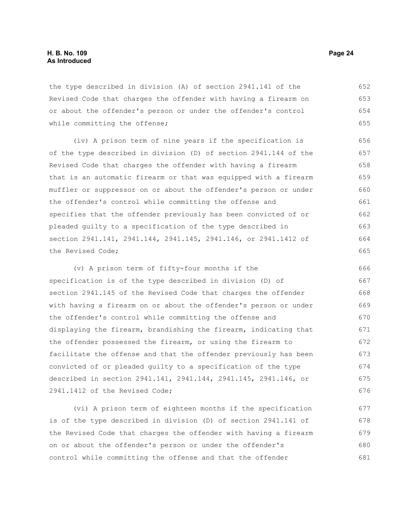the type described in division (A) of section 2941.141 of the Revised Code that charges the offender with having a firearm on or about the offender's person or under the offender's control while committing the offense; 652 653 654 655

(iv) A prison term of nine years if the specification is of the type described in division (D) of section 2941.144 of the Revised Code that charges the offender with having a firearm that is an automatic firearm or that was equipped with a firearm muffler or suppressor on or about the offender's person or under the offender's control while committing the offense and specifies that the offender previously has been convicted of or pleaded guilty to a specification of the type described in section 2941.141, 2941.144, 2941.145, 2941.146, or 2941.1412 of the Revised Code; 656 657 658 659 660 661 662 663 664 665

(v) A prison term of fifty-four months if the specification is of the type described in division (D) of section 2941.145 of the Revised Code that charges the offender with having a firearm on or about the offender's person or under the offender's control while committing the offense and displaying the firearm, brandishing the firearm, indicating that the offender possessed the firearm, or using the firearm to facilitate the offense and that the offender previously has been convicted of or pleaded guilty to a specification of the type described in section 2941.141, 2941.144, 2941.145, 2941.146, or 2941.1412 of the Revised Code; 666 667 668 669 670 671 672 673 674 675 676

(vi) A prison term of eighteen months if the specification is of the type described in division (D) of section 2941.141 of the Revised Code that charges the offender with having a firearm on or about the offender's person or under the offender's control while committing the offense and that the offender 677 678 679 680 681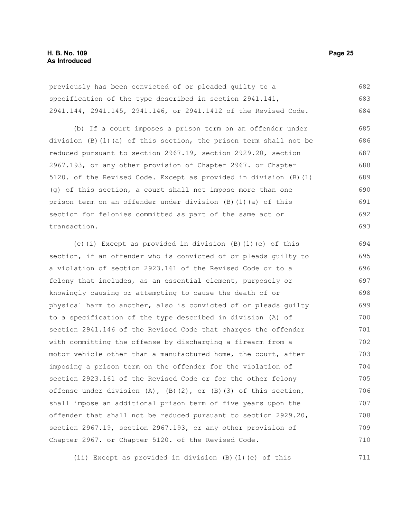previously has been convicted of or pleaded guilty to a specification of the type described in section 2941.141, 2941.144, 2941.145, 2941.146, or 2941.1412 of the Revised Code. 682 683 684

(b) If a court imposes a prison term on an offender under division (B)(1)(a) of this section, the prison term shall not be reduced pursuant to section 2967.19, section 2929.20, section 2967.193, or any other provision of Chapter 2967. or Chapter 5120. of the Revised Code. Except as provided in division (B)(1) (g) of this section, a court shall not impose more than one prison term on an offender under division (B)(1)(a) of this section for felonies committed as part of the same act or transaction. 685 686 687 688 689 690 691 692 693

(c)(i) Except as provided in division (B)(1)(e) of this section, if an offender who is convicted of or pleads guilty to a violation of section 2923.161 of the Revised Code or to a felony that includes, as an essential element, purposely or knowingly causing or attempting to cause the death of or physical harm to another, also is convicted of or pleads guilty to a specification of the type described in division (A) of section 2941.146 of the Revised Code that charges the offender with committing the offense by discharging a firearm from a motor vehicle other than a manufactured home, the court, after imposing a prison term on the offender for the violation of section 2923.161 of the Revised Code or for the other felony offense under division  $(A)$ ,  $(B)$  $(2)$ , or  $(B)$  $(3)$  of this section, shall impose an additional prison term of five years upon the offender that shall not be reduced pursuant to section 2929.20, section 2967.19, section 2967.193, or any other provision of Chapter 2967. or Chapter 5120. of the Revised Code. 694 695 696 697 698 699 700 701 702 703 704 705 706 707 708 709 710

(ii) Except as provided in division (B)(1)(e) of this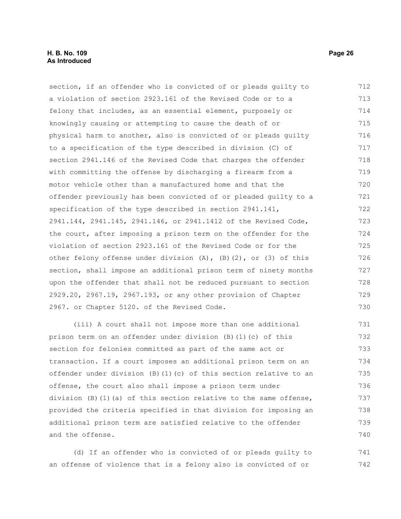section, if an offender who is convicted of or pleads guilty to a violation of section 2923.161 of the Revised Code or to a felony that includes, as an essential element, purposely or knowingly causing or attempting to cause the death of or physical harm to another, also is convicted of or pleads guilty to a specification of the type described in division (C) of section 2941.146 of the Revised Code that charges the offender with committing the offense by discharging a firearm from a motor vehicle other than a manufactured home and that the offender previously has been convicted of or pleaded guilty to a specification of the type described in section 2941.141, 2941.144, 2941.145, 2941.146, or 2941.1412 of the Revised Code, the court, after imposing a prison term on the offender for the violation of section 2923.161 of the Revised Code or for the other felony offense under division (A), (B)(2), or (3) of this section, shall impose an additional prison term of ninety months upon the offender that shall not be reduced pursuant to section 2929.20, 2967.19, 2967.193, or any other provision of Chapter 2967. or Chapter 5120. of the Revised Code. 712 713 714 715 716 717 718 719 720 721 722 723 724 725 726 727 728 729 730

(iii) A court shall not impose more than one additional prison term on an offender under division (B)(1)(c) of this section for felonies committed as part of the same act or transaction. If a court imposes an additional prison term on an offender under division (B)(1)(c) of this section relative to an offense, the court also shall impose a prison term under division  $(B)$  (1)(a) of this section relative to the same offense, provided the criteria specified in that division for imposing an additional prison term are satisfied relative to the offender and the offense. 731 732 733 734 735 736 737 738 739 740

(d) If an offender who is convicted of or pleads guilty to an offense of violence that is a felony also is convicted of or 741 742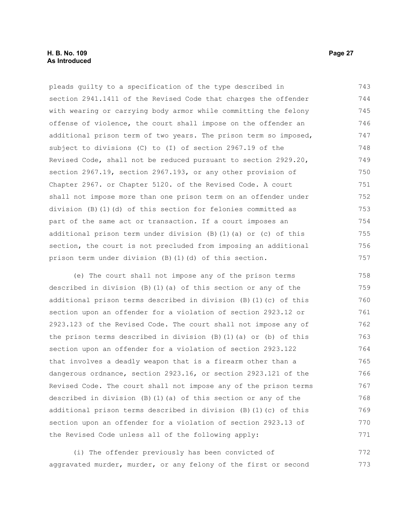#### **H. B. No. 109 Page 27 As Introduced**

pleads guilty to a specification of the type described in section 2941.1411 of the Revised Code that charges the offender with wearing or carrying body armor while committing the felony offense of violence, the court shall impose on the offender an additional prison term of two years. The prison term so imposed, subject to divisions (C) to (I) of section 2967.19 of the Revised Code, shall not be reduced pursuant to section 2929.20, section 2967.19, section 2967.193, or any other provision of Chapter 2967. or Chapter 5120. of the Revised Code. A court shall not impose more than one prison term on an offender under division (B)(1)(d) of this section for felonies committed as part of the same act or transaction. If a court imposes an additional prison term under division (B)(1)(a) or (c) of this section, the court is not precluded from imposing an additional prison term under division (B)(1)(d) of this section. 743 744 745 746 747 748 749 750 751 752 753 754 755 756 757

(e) The court shall not impose any of the prison terms described in division (B)(1)(a) of this section or any of the additional prison terms described in division (B)(1)(c) of this section upon an offender for a violation of section 2923.12 or 2923.123 of the Revised Code. The court shall not impose any of the prison terms described in division (B)(1)(a) or (b) of this section upon an offender for a violation of section 2923.122 that involves a deadly weapon that is a firearm other than a dangerous ordnance, section 2923.16, or section 2923.121 of the Revised Code. The court shall not impose any of the prison terms described in division (B)(1)(a) of this section or any of the additional prison terms described in division (B)(1)(c) of this section upon an offender for a violation of section 2923.13 of the Revised Code unless all of the following apply: 758 759 760 761 762 763 764 765 766 767 768 769 770 771

(i) The offender previously has been convicted of aggravated murder, murder, or any felony of the first or second 772 773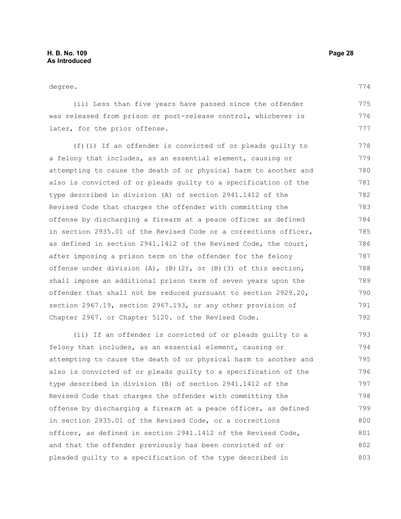degree.

(ii) Less than five years have passed since the offender was released from prison or post-release control, whichever is later, for the prior offense. 775 776 777

(f)(i) If an offender is convicted of or pleads guilty to a felony that includes, as an essential element, causing or attempting to cause the death of or physical harm to another and also is convicted of or pleads guilty to a specification of the type described in division (A) of section 2941.1412 of the Revised Code that charges the offender with committing the offense by discharging a firearm at a peace officer as defined in section 2935.01 of the Revised Code or a corrections officer, as defined in section 2941.1412 of the Revised Code, the court, after imposing a prison term on the offender for the felony offense under division  $(A)$ ,  $(B)(2)$ , or  $(B)(3)$  of this section, shall impose an additional prison term of seven years upon the offender that shall not be reduced pursuant to section 2929.20, section 2967.19, section 2967.193, or any other provision of Chapter 2967. or Chapter 5120. of the Revised Code. 778 779 780 781 782 783 784 785 786 787 788 789 790 791 792

(ii) If an offender is convicted of or pleads guilty to a felony that includes, as an essential element, causing or attempting to cause the death of or physical harm to another and also is convicted of or pleads guilty to a specification of the type described in division (B) of section 2941.1412 of the Revised Code that charges the offender with committing the offense by discharging a firearm at a peace officer, as defined in section 2935.01 of the Revised Code, or a corrections officer, as defined in section 2941.1412 of the Revised Code, and that the offender previously has been convicted of or pleaded guilty to a specification of the type described in 793 794 795 796 797 798 799 800 801 802 803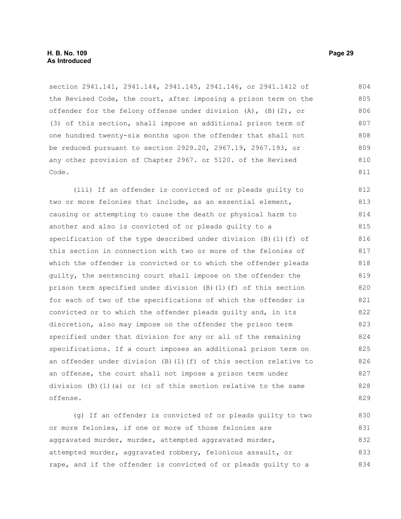section 2941.141, 2941.144, 2941.145, 2941.146, or 2941.1412 of the Revised Code, the court, after imposing a prison term on the offender for the felony offense under division (A), (B)(2), or (3) of this section, shall impose an additional prison term of one hundred twenty-six months upon the offender that shall not be reduced pursuant to section 2929.20, 2967.19, 2967.193, or any other provision of Chapter 2967. or 5120. of the Revised Code. 804 805 806 807 808 809 810 811

(iii) If an offender is convicted of or pleads guilty to two or more felonies that include, as an essential element, causing or attempting to cause the death or physical harm to another and also is convicted of or pleads guilty to a specification of the type described under division (B)(1)(f) of this section in connection with two or more of the felonies of which the offender is convicted or to which the offender pleads guilty, the sentencing court shall impose on the offender the prison term specified under division (B)(1)(f) of this section for each of two of the specifications of which the offender is convicted or to which the offender pleads guilty and, in its discretion, also may impose on the offender the prison term specified under that division for any or all of the remaining specifications. If a court imposes an additional prison term on an offender under division (B)(1)(f) of this section relative to an offense, the court shall not impose a prison term under division  $(B)$   $(1)$   $(a)$  or  $(c)$  of this section relative to the same offense. 812 813 814 815 816 817 818 819 820 821 822 823 824 825 826 827 828 829

(g) If an offender is convicted of or pleads guilty to two or more felonies, if one or more of those felonies are aggravated murder, murder, attempted aggravated murder, attempted murder, aggravated robbery, felonious assault, or rape, and if the offender is convicted of or pleads guilty to a 830 831 832 833 834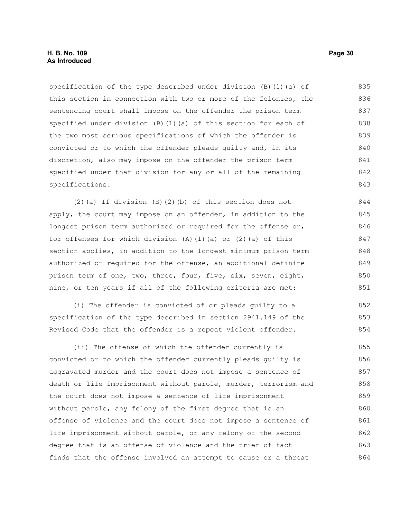specification of the type described under division  $(B)$  (1)(a) of this section in connection with two or more of the felonies, the sentencing court shall impose on the offender the prison term specified under division (B)(1)(a) of this section for each of the two most serious specifications of which the offender is convicted or to which the offender pleads guilty and, in its discretion, also may impose on the offender the prison term specified under that division for any or all of the remaining specifications. 835 836 837 838 839 840 841 842 843

(2)(a) If division (B)(2)(b) of this section does not apply, the court may impose on an offender, in addition to the longest prison term authorized or required for the offense or, for offenses for which division  $(A)$   $(1)$   $(a)$  or  $(2)$   $(a)$  of this section applies, in addition to the longest minimum prison term authorized or required for the offense, an additional definite prison term of one, two, three, four, five, six, seven, eight, nine, or ten years if all of the following criteria are met:

(i) The offender is convicted of or pleads guilty to a specification of the type described in section 2941.149 of the Revised Code that the offender is a repeat violent offender.

(ii) The offense of which the offender currently is convicted or to which the offender currently pleads guilty is aggravated murder and the court does not impose a sentence of death or life imprisonment without parole, murder, terrorism and the court does not impose a sentence of life imprisonment without parole, any felony of the first degree that is an offense of violence and the court does not impose a sentence of life imprisonment without parole, or any felony of the second degree that is an offense of violence and the trier of fact finds that the offense involved an attempt to cause or a threat 855 856 857 858 859 860 861 862 863 864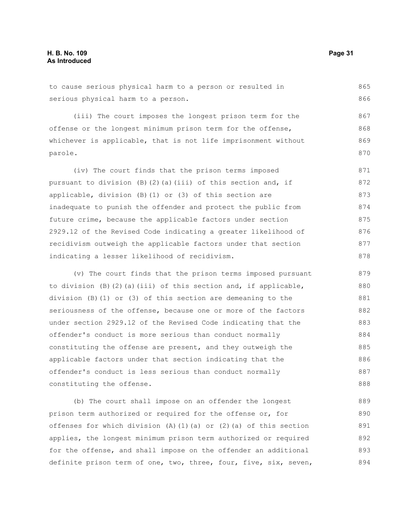to cause serious physical harm to a person or resulted in serious physical harm to a person. 865 866

(iii) The court imposes the longest prison term for the offense or the longest minimum prison term for the offense, whichever is applicable, that is not life imprisonment without parole. 867 868 869 870

(iv) The court finds that the prison terms imposed pursuant to division (B)(2)(a)(iii) of this section and, if applicable, division (B)(1) or (3) of this section are inadequate to punish the offender and protect the public from future crime, because the applicable factors under section 2929.12 of the Revised Code indicating a greater likelihood of recidivism outweigh the applicable factors under that section indicating a lesser likelihood of recidivism. 871 872 873 874 875 876 877 878

(v) The court finds that the prison terms imposed pursuant to division  $(B)$   $(2)$   $(a)$   $(iii)$  of this section and, if applicable, division (B)(1) or (3) of this section are demeaning to the seriousness of the offense, because one or more of the factors under section 2929.12 of the Revised Code indicating that the offender's conduct is more serious than conduct normally constituting the offense are present, and they outweigh the applicable factors under that section indicating that the offender's conduct is less serious than conduct normally constituting the offense. 879 880 881 882 883 884 885 886 887 888

(b) The court shall impose on an offender the longest prison term authorized or required for the offense or, for offenses for which division (A)(1)(a) or (2)(a) of this section applies, the longest minimum prison term authorized or required for the offense, and shall impose on the offender an additional definite prison term of one, two, three, four, five, six, seven, 889 890 891 892 893 894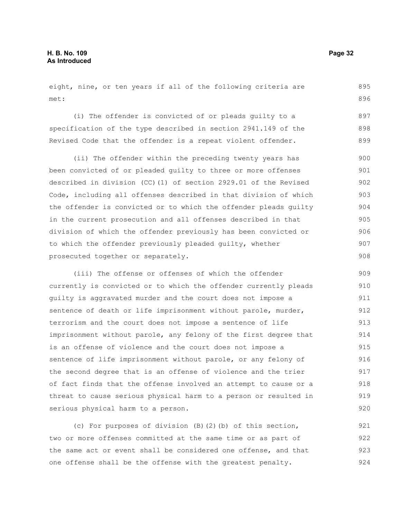eight, nine, or ten years if all of the following criteria are met: 895 896

(i) The offender is convicted of or pleads guilty to a specification of the type described in section 2941.149 of the Revised Code that the offender is a repeat violent offender. 897 898 899

(ii) The offender within the preceding twenty years has been convicted of or pleaded guilty to three or more offenses described in division (CC)(1) of section 2929.01 of the Revised Code, including all offenses described in that division of which the offender is convicted or to which the offender pleads guilty in the current prosecution and all offenses described in that division of which the offender previously has been convicted or to which the offender previously pleaded guilty, whether prosecuted together or separately. 900 901 902 903 904 905 906 907 908

(iii) The offense or offenses of which the offender currently is convicted or to which the offender currently pleads guilty is aggravated murder and the court does not impose a sentence of death or life imprisonment without parole, murder, terrorism and the court does not impose a sentence of life imprisonment without parole, any felony of the first degree that is an offense of violence and the court does not impose a sentence of life imprisonment without parole, or any felony of the second degree that is an offense of violence and the trier of fact finds that the offense involved an attempt to cause or a threat to cause serious physical harm to a person or resulted in serious physical harm to a person. 909 910 911 912 913 914 915 916 917 918 919 920

(c) For purposes of division (B)(2)(b) of this section, two or more offenses committed at the same time or as part of the same act or event shall be considered one offense, and that one offense shall be the offense with the greatest penalty. 921 922 923 924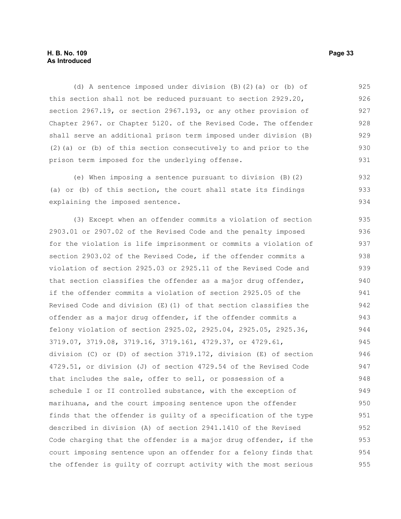#### **H. B. No. 109 Page 33 As Introduced**

(d) A sentence imposed under division (B)(2)(a) or (b) of this section shall not be reduced pursuant to section 2929.20, section 2967.19, or section 2967.193, or any other provision of Chapter 2967. or Chapter 5120. of the Revised Code. The offender shall serve an additional prison term imposed under division (B) (2)(a) or (b) of this section consecutively to and prior to the prison term imposed for the underlying offense. 925 926 927 928 929 930 931

(e) When imposing a sentence pursuant to division (B)(2) (a) or (b) of this section, the court shall state its findings explaining the imposed sentence. 932 933 934

(3) Except when an offender commits a violation of section 2903.01 or 2907.02 of the Revised Code and the penalty imposed for the violation is life imprisonment or commits a violation of section 2903.02 of the Revised Code, if the offender commits a violation of section 2925.03 or 2925.11 of the Revised Code and that section classifies the offender as a major drug offender, if the offender commits a violation of section 2925.05 of the Revised Code and division  $(E)$  (1) of that section classifies the offender as a major drug offender, if the offender commits a felony violation of section 2925.02, 2925.04, 2925.05, 2925.36, 3719.07, 3719.08, 3719.16, 3719.161, 4729.37, or 4729.61, division (C) or (D) of section 3719.172, division (E) of section 4729.51, or division (J) of section 4729.54 of the Revised Code that includes the sale, offer to sell, or possession of a schedule I or II controlled substance, with the exception of marihuana, and the court imposing sentence upon the offender finds that the offender is guilty of a specification of the type described in division (A) of section 2941.1410 of the Revised Code charging that the offender is a major drug offender, if the court imposing sentence upon an offender for a felony finds that the offender is guilty of corrupt activity with the most serious 935 936 937 938 939 940 941 942 943 944 945 946 947 948 949 950 951 952 953 954 955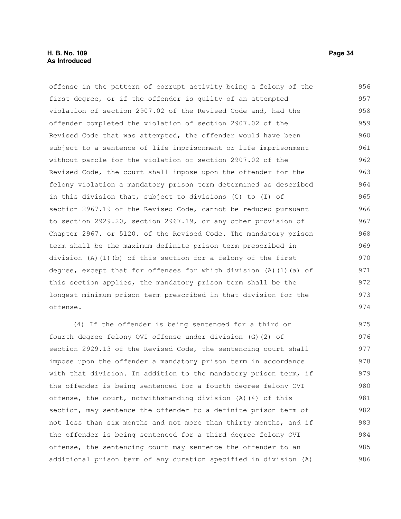offense in the pattern of corrupt activity being a felony of the first degree, or if the offender is guilty of an attempted violation of section 2907.02 of the Revised Code and, had the offender completed the violation of section 2907.02 of the Revised Code that was attempted, the offender would have been subject to a sentence of life imprisonment or life imprisonment without parole for the violation of section 2907.02 of the Revised Code, the court shall impose upon the offender for the felony violation a mandatory prison term determined as described in this division that, subject to divisions (C) to (I) of section 2967.19 of the Revised Code, cannot be reduced pursuant to section 2929.20, section 2967.19, or any other provision of Chapter 2967. or 5120. of the Revised Code. The mandatory prison term shall be the maximum definite prison term prescribed in division (A)(1)(b) of this section for a felony of the first degree, except that for offenses for which division (A)(1)(a) of this section applies, the mandatory prison term shall be the longest minimum prison term prescribed in that division for the offense. 956 957 958 959 960 961 962 963 964 965 966 967 968 969 970 971 972 973 974

(4) If the offender is being sentenced for a third or fourth degree felony OVI offense under division (G)(2) of section 2929.13 of the Revised Code, the sentencing court shall impose upon the offender a mandatory prison term in accordance with that division. In addition to the mandatory prison term, if the offender is being sentenced for a fourth degree felony OVI offense, the court, notwithstanding division (A)(4) of this section, may sentence the offender to a definite prison term of not less than six months and not more than thirty months, and if the offender is being sentenced for a third degree felony OVI offense, the sentencing court may sentence the offender to an additional prison term of any duration specified in division (A) 975 976 977 978 979 980 981 982 983 984 985 986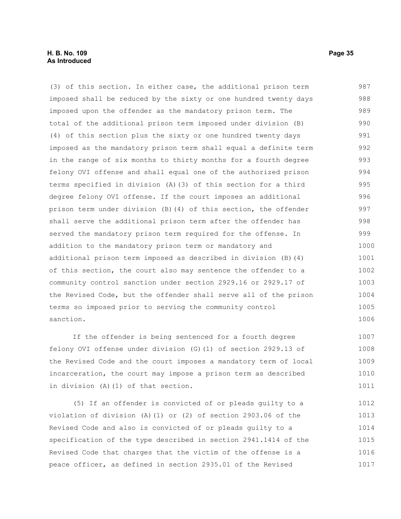#### **H. B. No. 109 Page 35 As Introduced**

(3) of this section. In either case, the additional prison term imposed shall be reduced by the sixty or one hundred twenty days imposed upon the offender as the mandatory prison term. The total of the additional prison term imposed under division (B) (4) of this section plus the sixty or one hundred twenty days imposed as the mandatory prison term shall equal a definite term in the range of six months to thirty months for a fourth degree felony OVI offense and shall equal one of the authorized prison terms specified in division (A)(3) of this section for a third degree felony OVI offense. If the court imposes an additional prison term under division (B)(4) of this section, the offender shall serve the additional prison term after the offender has served the mandatory prison term required for the offense. In addition to the mandatory prison term or mandatory and additional prison term imposed as described in division (B)(4) of this section, the court also may sentence the offender to a community control sanction under section 2929.16 or 2929.17 of the Revised Code, but the offender shall serve all of the prison terms so imposed prior to serving the community control sanction. 987 988 989 990 991 992 993 994 995 996 997 998 999 1000 1001 1002 1003 1004 1005 1006

If the offender is being sentenced for a fourth degree felony OVI offense under division (G)(1) of section 2929.13 of the Revised Code and the court imposes a mandatory term of local incarceration, the court may impose a prison term as described in division (A)(1) of that section. 1007 1008 1009 1010 1011

(5) If an offender is convicted of or pleads guilty to a violation of division (A)(1) or (2) of section 2903.06 of the Revised Code and also is convicted of or pleads guilty to a specification of the type described in section 2941.1414 of the Revised Code that charges that the victim of the offense is a peace officer, as defined in section 2935.01 of the Revised 1012 1013 1014 1015 1016 1017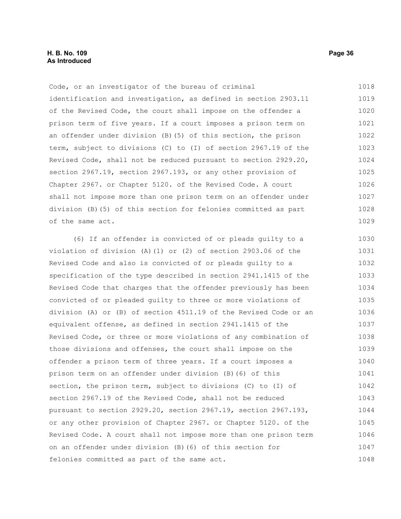Code, or an investigator of the bureau of criminal identification and investigation, as defined in section 2903.11 of the Revised Code, the court shall impose on the offender a prison term of five years. If a court imposes a prison term on an offender under division (B)(5) of this section, the prison term, subject to divisions (C) to (I) of section 2967.19 of the Revised Code, shall not be reduced pursuant to section 2929.20, section 2967.19, section 2967.193, or any other provision of Chapter 2967. or Chapter 5120. of the Revised Code. A court shall not impose more than one prison term on an offender under division (B)(5) of this section for felonies committed as part of the same act. 1018 1019 1020 1021 1022 1023 1024 1025 1026 1027 1028 1029

(6) If an offender is convicted of or pleads guilty to a violation of division (A)(1) or (2) of section 2903.06 of the Revised Code and also is convicted of or pleads guilty to a specification of the type described in section 2941.1415 of the Revised Code that charges that the offender previously has been convicted of or pleaded guilty to three or more violations of division (A) or (B) of section 4511.19 of the Revised Code or an equivalent offense, as defined in section 2941.1415 of the Revised Code, or three or more violations of any combination of those divisions and offenses, the court shall impose on the offender a prison term of three years. If a court imposes a prison term on an offender under division (B)(6) of this section, the prison term, subject to divisions (C) to (I) of section 2967.19 of the Revised Code, shall not be reduced pursuant to section 2929.20, section 2967.19, section 2967.193, or any other provision of Chapter 2967. or Chapter 5120. of the Revised Code. A court shall not impose more than one prison term on an offender under division (B)(6) of this section for felonies committed as part of the same act. 1030 1031 1032 1033 1034 1035 1036 1037 1038 1039 1040 1041 1042 1043 1044 1045 1046 1047 1048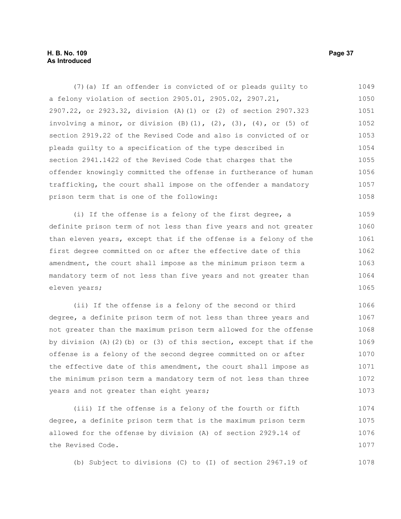#### **H. B. No. 109 Page 37 As Introduced**

(7)(a) If an offender is convicted of or pleads guilty to a felony violation of section 2905.01, 2905.02, 2907.21, 2907.22, or 2923.32, division (A)(1) or (2) of section 2907.323 involving a minor, or division  $(B)$   $(1)$ ,  $(2)$ ,  $(3)$ ,  $(4)$ , or  $(5)$  of section 2919.22 of the Revised Code and also is convicted of or pleads guilty to a specification of the type described in section 2941.1422 of the Revised Code that charges that the offender knowingly committed the offense in furtherance of human trafficking, the court shall impose on the offender a mandatory prison term that is one of the following: 1049 1050 1051 1052 1053 1054 1055 1056 1057 1058

(i) If the offense is a felony of the first degree, a definite prison term of not less than five years and not greater than eleven years, except that if the offense is a felony of the first degree committed on or after the effective date of this amendment, the court shall impose as the minimum prison term a mandatory term of not less than five years and not greater than eleven years; 1059 1060 1061 1062 1063 1064 1065

(ii) If the offense is a felony of the second or third degree, a definite prison term of not less than three years and not greater than the maximum prison term allowed for the offense by division  $(A)$   $(2)$   $(b)$  or  $(3)$  of this section, except that if the offense is a felony of the second degree committed on or after the effective date of this amendment, the court shall impose as the minimum prison term a mandatory term of not less than three years and not greater than eight years; 1066 1067 1068 1069 1070 1071 1072 1073

(iii) If the offense is a felony of the fourth or fifth degree, a definite prison term that is the maximum prison term allowed for the offense by division (A) of section 2929.14 of the Revised Code. 1074 1075 1076 1077

(b) Subject to divisions (C) to (I) of section 2967.19 of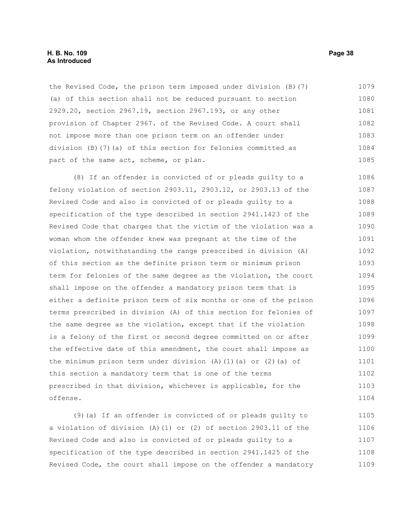#### **H. B. No. 109 Page 38 As Introduced**

the Revised Code, the prison term imposed under division (B)(7) (a) of this section shall not be reduced pursuant to section 2929.20, section 2967.19, section 2967.193, or any other provision of Chapter 2967. of the Revised Code. A court shall not impose more than one prison term on an offender under division (B)(7)(a) of this section for felonies committed as part of the same act, scheme, or plan. 1079 1080 1081 1082 1083 1084 1085

(8) If an offender is convicted of or pleads guilty to a felony violation of section 2903.11, 2903.12, or 2903.13 of the Revised Code and also is convicted of or pleads guilty to a specification of the type described in section 2941.1423 of the Revised Code that charges that the victim of the violation was a woman whom the offender knew was pregnant at the time of the violation, notwithstanding the range prescribed in division (A) of this section as the definite prison term or minimum prison term for felonies of the same degree as the violation, the court shall impose on the offender a mandatory prison term that is either a definite prison term of six months or one of the prison terms prescribed in division (A) of this section for felonies of the same degree as the violation, except that if the violation is a felony of the first or second degree committed on or after the effective date of this amendment, the court shall impose as the minimum prison term under division (A)(1)(a) or (2)(a) of this section a mandatory term that is one of the terms prescribed in that division, whichever is applicable, for the offense. 1086 1087 1088 1089 1090 1091 1092 1093 1094 1095 1096 1097 1098 1099 1100 1101 1102 1103 1104

(9)(a) If an offender is convicted of or pleads guilty to a violation of division (A)(1) or (2) of section 2903.11 of the Revised Code and also is convicted of or pleads guilty to a specification of the type described in section 2941.1425 of the Revised Code, the court shall impose on the offender a mandatory 1105 1106 1107 1108 1109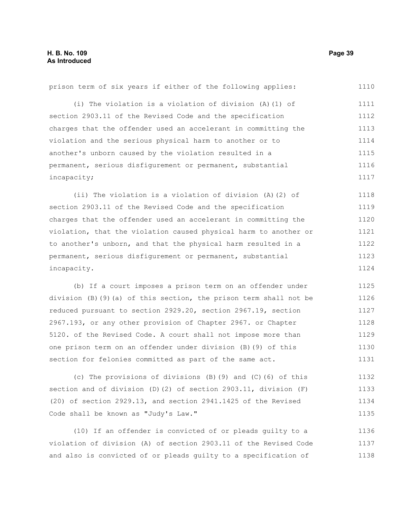prison term of six years if either of the following applies: (i) The violation is a violation of division (A)(1) of section 2903.11 of the Revised Code and the specification charges that the offender used an accelerant in committing the violation and the serious physical harm to another or to another's unborn caused by the violation resulted in a permanent, serious disfigurement or permanent, substantial incapacity; (ii) The violation is a violation of division (A)(2) of section 2903.11 of the Revised Code and the specification charges that the offender used an accelerant in committing the violation, that the violation caused physical harm to another or to another's unborn, and that the physical harm resulted in a permanent, serious disfigurement or permanent, substantial incapacity. (b) If a court imposes a prison term on an offender under division (B)(9)(a) of this section, the prison term shall not be reduced pursuant to section 2929.20, section 2967.19, section 1110 1111 1112 1113 1114 1115 1116 1117 1118 1119 1120 1121 1122 1123 1124 1125 1126 1127

2967.193, or any other provision of Chapter 2967. or Chapter 5120. of the Revised Code. A court shall not impose more than one prison term on an offender under division (B)(9) of this section for felonies committed as part of the same act. 1128 1129 1130 1131

(c) The provisions of divisions (B)(9) and (C)(6) of this section and of division (D)(2) of section 2903.11, division (F) (20) of section 2929.13, and section 2941.1425 of the Revised Code shall be known as "Judy's Law." 1132 1133 1134 1135

(10) If an offender is convicted of or pleads guilty to a violation of division (A) of section 2903.11 of the Revised Code and also is convicted of or pleads guilty to a specification of 1136 1137 1138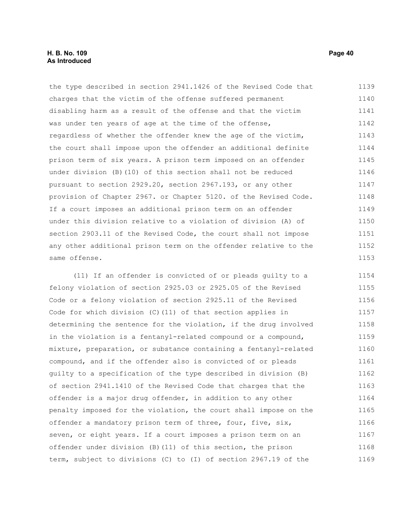#### **H. B. No. 109 Page 40 As Introduced**

the type described in section 2941.1426 of the Revised Code that charges that the victim of the offense suffered permanent disabling harm as a result of the offense and that the victim was under ten years of age at the time of the offense, regardless of whether the offender knew the age of the victim, the court shall impose upon the offender an additional definite prison term of six years. A prison term imposed on an offender under division (B)(10) of this section shall not be reduced pursuant to section 2929.20, section 2967.193, or any other provision of Chapter 2967. or Chapter 5120. of the Revised Code. If a court imposes an additional prison term on an offender under this division relative to a violation of division (A) of section 2903.11 of the Revised Code, the court shall not impose any other additional prison term on the offender relative to the same offense. 1139 1140 1141 1142 1143 1144 1145 1146 1147 1148 1149 1150 1151 1152 1153

(11) If an offender is convicted of or pleads guilty to a felony violation of section 2925.03 or 2925.05 of the Revised Code or a felony violation of section 2925.11 of the Revised Code for which division (C)(11) of that section applies in determining the sentence for the violation, if the drug involved in the violation is a fentanyl-related compound or a compound, mixture, preparation, or substance containing a fentanyl-related compound, and if the offender also is convicted of or pleads guilty to a specification of the type described in division (B) of section 2941.1410 of the Revised Code that charges that the offender is a major drug offender, in addition to any other penalty imposed for the violation, the court shall impose on the offender a mandatory prison term of three, four, five, six, seven, or eight years. If a court imposes a prison term on an offender under division (B)(11) of this section, the prison term, subject to divisions (C) to (I) of section 2967.19 of the 1154 1155 1156 1157 1158 1159 1160 1161 1162 1163 1164 1165 1166 1167 1168 1169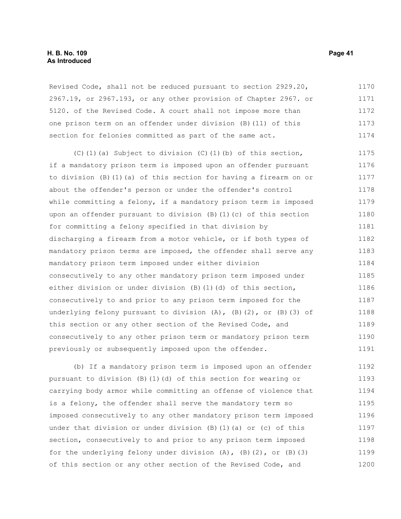Revised Code, shall not be reduced pursuant to section 2929.20, 2967.19, or 2967.193, or any other provision of Chapter 2967. or 5120. of the Revised Code. A court shall not impose more than one prison term on an offender under division (B)(11) of this section for felonies committed as part of the same act. 1170 1171 1172 1173 1174

(C)(1)(a) Subject to division (C)(1)(b) of this section, if a mandatory prison term is imposed upon an offender pursuant to division (B)(1)(a) of this section for having a firearm on or about the offender's person or under the offender's control while committing a felony, if a mandatory prison term is imposed upon an offender pursuant to division (B)(1)(c) of this section for committing a felony specified in that division by discharging a firearm from a motor vehicle, or if both types of mandatory prison terms are imposed, the offender shall serve any mandatory prison term imposed under either division consecutively to any other mandatory prison term imposed under either division or under division (B)(1)(d) of this section, consecutively to and prior to any prison term imposed for the underlying felony pursuant to division  $(A)$ ,  $(B)$   $(2)$ , or  $(B)$   $(3)$  of this section or any other section of the Revised Code, and consecutively to any other prison term or mandatory prison term previously or subsequently imposed upon the offender. 1175 1176 1177 1178 1179 1180 1181 1182 1183 1184 1185 1186 1187 1188 1189 1190 1191

(b) If a mandatory prison term is imposed upon an offender pursuant to division (B)(1)(d) of this section for wearing or carrying body armor while committing an offense of violence that is a felony, the offender shall serve the mandatory term so imposed consecutively to any other mandatory prison term imposed under that division or under division (B)(1)(a) or (c) of this section, consecutively to and prior to any prison term imposed for the underlying felony under division  $(A)$ ,  $(B)$   $(2)$ , or  $(B)$   $(3)$ of this section or any other section of the Revised Code, and 1192 1193 1194 1195 1196 1197 1198 1199 1200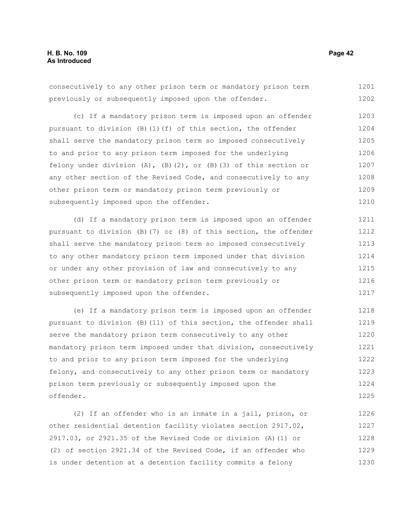consecutively to any other prison term or mandatory prison term previously or subsequently imposed upon the offender. 1201 1202

(c) If a mandatory prison term is imposed upon an offender pursuant to division (B)(1)(f) of this section, the offender shall serve the mandatory prison term so imposed consecutively to and prior to any prison term imposed for the underlying felony under division  $(A)$ ,  $(B)$   $(2)$ , or  $(B)$   $(3)$  of this section or any other section of the Revised Code, and consecutively to any other prison term or mandatory prison term previously or subsequently imposed upon the offender. 1203 1204 1205 1206 1207 1208 1209 1210

(d) If a mandatory prison term is imposed upon an offender pursuant to division (B)(7) or (8) of this section, the offender shall serve the mandatory prison term so imposed consecutively to any other mandatory prison term imposed under that division or under any other provision of law and consecutively to any other prison term or mandatory prison term previously or subsequently imposed upon the offender. 1211 1212 1213 1214 1215 1216 1217

(e) If a mandatory prison term is imposed upon an offender pursuant to division (B)(11) of this section, the offender shall serve the mandatory prison term consecutively to any other mandatory prison term imposed under that division, consecutively to and prior to any prison term imposed for the underlying felony, and consecutively to any other prison term or mandatory prison term previously or subsequently imposed upon the offender. 1218 1219 1220 1221 1222 1223 1224 1225

(2) If an offender who is an inmate in a jail, prison, or other residential detention facility violates section 2917.02, 2917.03, or 2921.35 of the Revised Code or division (A)(1) or (2) of section 2921.34 of the Revised Code, if an offender who is under detention at a detention facility commits a felony 1226 1227 1228 1229 1230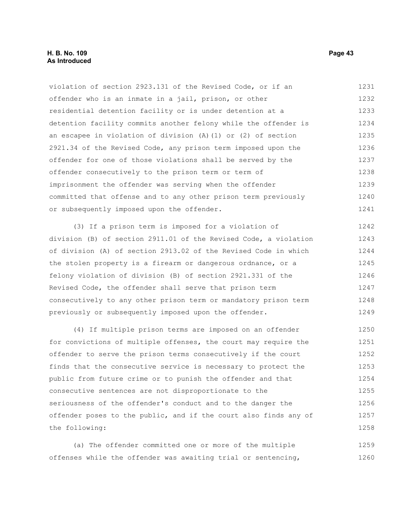#### **H. B. No. 109 Page 43 As Introduced**

violation of section 2923.131 of the Revised Code, or if an offender who is an inmate in a jail, prison, or other residential detention facility or is under detention at a detention facility commits another felony while the offender is an escapee in violation of division (A)(1) or (2) of section 2921.34 of the Revised Code, any prison term imposed upon the offender for one of those violations shall be served by the offender consecutively to the prison term or term of imprisonment the offender was serving when the offender committed that offense and to any other prison term previously or subsequently imposed upon the offender. 1231 1232 1233 1234 1235 1236 1237 1238 1239 1240 1241

(3) If a prison term is imposed for a violation of division (B) of section 2911.01 of the Revised Code, a violation of division (A) of section 2913.02 of the Revised Code in which the stolen property is a firearm or dangerous ordnance, or a felony violation of division (B) of section 2921.331 of the Revised Code, the offender shall serve that prison term consecutively to any other prison term or mandatory prison term previously or subsequently imposed upon the offender. 1242 1243 1244 1245 1246 1247 1248 1249

(4) If multiple prison terms are imposed on an offender for convictions of multiple offenses, the court may require the offender to serve the prison terms consecutively if the court finds that the consecutive service is necessary to protect the public from future crime or to punish the offender and that consecutive sentences are not disproportionate to the seriousness of the offender's conduct and to the danger the offender poses to the public, and if the court also finds any of the following: 1250 1251 1252 1253 1254 1255 1256 1257 1258

(a) The offender committed one or more of the multiple offenses while the offender was awaiting trial or sentencing, 1259 1260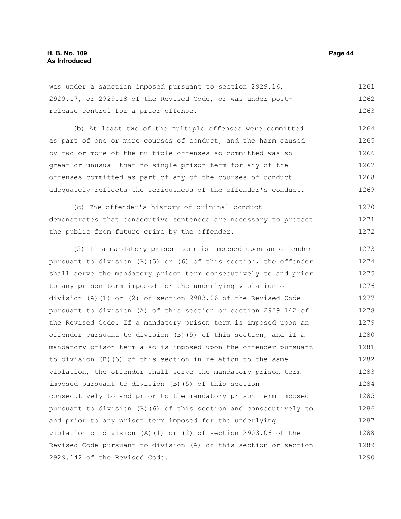was under a sanction imposed pursuant to section 2929.16, 2929.17, or 2929.18 of the Revised Code, or was under postrelease control for a prior offense. 1261 1262 1263

(b) At least two of the multiple offenses were committed as part of one or more courses of conduct, and the harm caused by two or more of the multiple offenses so committed was so great or unusual that no single prison term for any of the offenses committed as part of any of the courses of conduct adequately reflects the seriousness of the offender's conduct. 1264 1265 1266 1267 1268 1269

(c) The offender's history of criminal conduct demonstrates that consecutive sentences are necessary to protect the public from future crime by the offender. 1270 1271 1272

(5) If a mandatory prison term is imposed upon an offender pursuant to division (B)(5) or (6) of this section, the offender shall serve the mandatory prison term consecutively to and prior to any prison term imposed for the underlying violation of division (A)(1) or (2) of section 2903.06 of the Revised Code pursuant to division (A) of this section or section 2929.142 of the Revised Code. If a mandatory prison term is imposed upon an offender pursuant to division (B)(5) of this section, and if a mandatory prison term also is imposed upon the offender pursuant to division (B)(6) of this section in relation to the same violation, the offender shall serve the mandatory prison term imposed pursuant to division (B)(5) of this section consecutively to and prior to the mandatory prison term imposed pursuant to division (B)(6) of this section and consecutively to and prior to any prison term imposed for the underlying violation of division (A)(1) or (2) of section 2903.06 of the Revised Code pursuant to division (A) of this section or section 2929.142 of the Revised Code. 1273 1274 1275 1276 1277 1278 1279 1280 1281 1282 1283 1284 1285 1286 1287 1288 1289 1290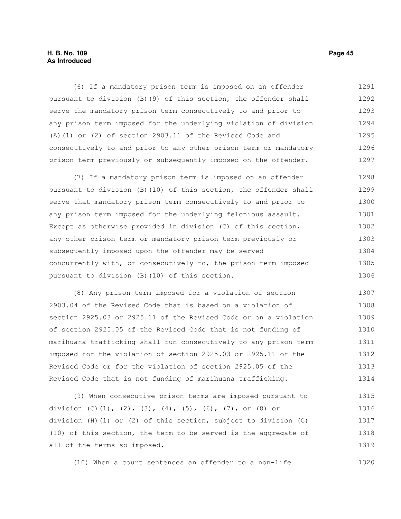#### **H. B. No. 109 Page 45 As Introduced**

(6) If a mandatory prison term is imposed on an offender pursuant to division (B)(9) of this section, the offender shall serve the mandatory prison term consecutively to and prior to any prison term imposed for the underlying violation of division (A)(1) or (2) of section 2903.11 of the Revised Code and consecutively to and prior to any other prison term or mandatory prison term previously or subsequently imposed on the offender. 1291 1292 1293 1294 1295 1296 1297

(7) If a mandatory prison term is imposed on an offender pursuant to division (B)(10) of this section, the offender shall serve that mandatory prison term consecutively to and prior to any prison term imposed for the underlying felonious assault. Except as otherwise provided in division (C) of this section, any other prison term or mandatory prison term previously or subsequently imposed upon the offender may be served concurrently with, or consecutively to, the prison term imposed pursuant to division (B)(10) of this section. 1298 1299 1300 1301 1302 1303 1304 1305 1306

(8) Any prison term imposed for a violation of section 2903.04 of the Revised Code that is based on a violation of section 2925.03 or 2925.11 of the Revised Code or on a violation of section 2925.05 of the Revised Code that is not funding of marihuana trafficking shall run consecutively to any prison term imposed for the violation of section 2925.03 or 2925.11 of the Revised Code or for the violation of section 2925.05 of the Revised Code that is not funding of marihuana trafficking. 1307 1308 1309 1310 1311 1312 1313 1314

(9) When consecutive prison terms are imposed pursuant to division (C)(1), (2), (3), (4), (5), (6), (7), or (8) or division (H)(1) or (2) of this section, subject to division (C) (10) of this section, the term to be served is the aggregate of all of the terms so imposed. 1315 1316 1317 1318 1319

(10) When a court sentences an offender to a non-life 1320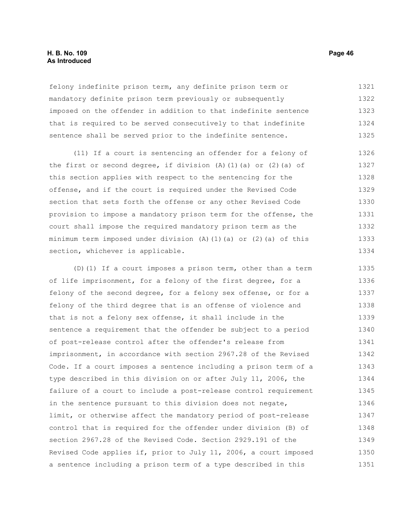#### **H. B. No. 109 Page 46 As Introduced**

felony indefinite prison term, any definite prison term or mandatory definite prison term previously or subsequently imposed on the offender in addition to that indefinite sentence that is required to be served consecutively to that indefinite sentence shall be served prior to the indefinite sentence. 1321 1322 1323 1324 1325

(11) If a court is sentencing an offender for a felony of the first or second degree, if division  $(A)$   $(1)$   $(a)$  or  $(2)$   $(a)$  of this section applies with respect to the sentencing for the offense, and if the court is required under the Revised Code section that sets forth the offense or any other Revised Code provision to impose a mandatory prison term for the offense, the court shall impose the required mandatory prison term as the minimum term imposed under division  $(A)$  (1)(a) or (2)(a) of this section, whichever is applicable. 1326 1327 1328 1329 1330 1331 1332 1333 1334

(D)(1) If a court imposes a prison term, other than a term of life imprisonment, for a felony of the first degree, for a felony of the second degree, for a felony sex offense, or for a felony of the third degree that is an offense of violence and that is not a felony sex offense, it shall include in the sentence a requirement that the offender be subject to a period of post-release control after the offender's release from imprisonment, in accordance with section 2967.28 of the Revised Code. If a court imposes a sentence including a prison term of a type described in this division on or after July 11, 2006, the failure of a court to include a post-release control requirement in the sentence pursuant to this division does not negate, limit, or otherwise affect the mandatory period of post-release control that is required for the offender under division (B) of section 2967.28 of the Revised Code. Section 2929.191 of the Revised Code applies if, prior to July 11, 2006, a court imposed a sentence including a prison term of a type described in this 1335 1336 1337 1338 1339 1340 1341 1342 1343 1344 1345 1346 1347 1348 1349 1350 1351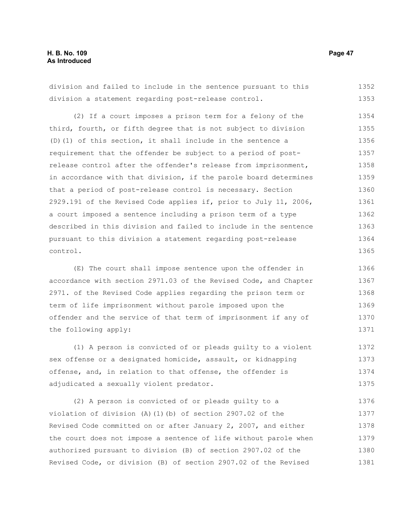division and failed to include in the sentence pursuant to this division a statement regarding post-release control. 1352 1353

(2) If a court imposes a prison term for a felony of the third, fourth, or fifth degree that is not subject to division (D)(1) of this section, it shall include in the sentence a requirement that the offender be subject to a period of postrelease control after the offender's release from imprisonment, in accordance with that division, if the parole board determines that a period of post-release control is necessary. Section 2929.191 of the Revised Code applies if, prior to July 11, 2006, a court imposed a sentence including a prison term of a type described in this division and failed to include in the sentence pursuant to this division a statement regarding post-release control. 1354 1355 1356 1357 1358 1359 1360 1361 1362 1363 1364 1365

(E) The court shall impose sentence upon the offender in accordance with section 2971.03 of the Revised Code, and Chapter 2971. of the Revised Code applies regarding the prison term or term of life imprisonment without parole imposed upon the offender and the service of that term of imprisonment if any of the following apply: 1366 1367 1368 1369 1370 1371

(1) A person is convicted of or pleads guilty to a violent sex offense or a designated homicide, assault, or kidnapping offense, and, in relation to that offense, the offender is adjudicated a sexually violent predator. 1372 1373 1374 1375

(2) A person is convicted of or pleads guilty to a violation of division (A)(1)(b) of section 2907.02 of the Revised Code committed on or after January 2, 2007, and either the court does not impose a sentence of life without parole when authorized pursuant to division (B) of section 2907.02 of the Revised Code, or division (B) of section 2907.02 of the Revised 1376 1377 1378 1379 1380 1381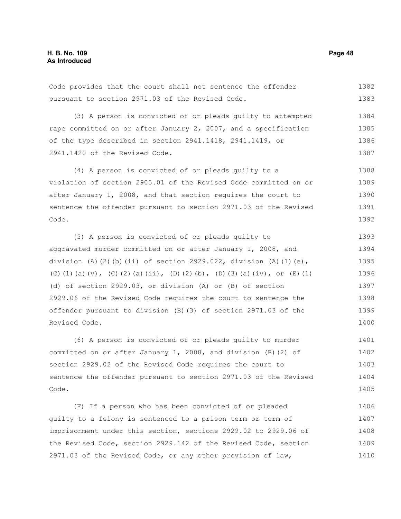Code provides that the court shall not sentence the offender pursuant to section 2971.03 of the Revised Code. 1382 1383

(3) A person is convicted of or pleads guilty to attempted rape committed on or after January 2, 2007, and a specification of the type described in section 2941.1418, 2941.1419, or 2941.1420 of the Revised Code. 1384 1385 1386 1387

(4) A person is convicted of or pleads guilty to a violation of section 2905.01 of the Revised Code committed on or after January 1, 2008, and that section requires the court to sentence the offender pursuant to section 2971.03 of the Revised Code. 1388 1389 1390 1391 1392

(5) A person is convicted of or pleads guilty to aggravated murder committed on or after January 1, 2008, and division (A)(2)(b)(ii) of section 2929.022, division (A)(1)(e), (C)(1)(a)(v), (C)(2)(a)(ii), (D)(2)(b), (D)(3)(a)(iv), or (E)(1) (d) of section 2929.03, or division (A) or (B) of section 2929.06 of the Revised Code requires the court to sentence the offender pursuant to division (B)(3) of section 2971.03 of the Revised Code. 1393 1394 1395 1396 1397 1398 1399 1400

(6) A person is convicted of or pleads guilty to murder committed on or after January 1, 2008, and division (B)(2) of section 2929.02 of the Revised Code requires the court to sentence the offender pursuant to section 2971.03 of the Revised Code. 1401 1402 1403 1404 1405

(F) If a person who has been convicted of or pleaded guilty to a felony is sentenced to a prison term or term of imprisonment under this section, sections 2929.02 to 2929.06 of the Revised Code, section 2929.142 of the Revised Code, section 2971.03 of the Revised Code, or any other provision of law, 1406 1407 1408 1409 1410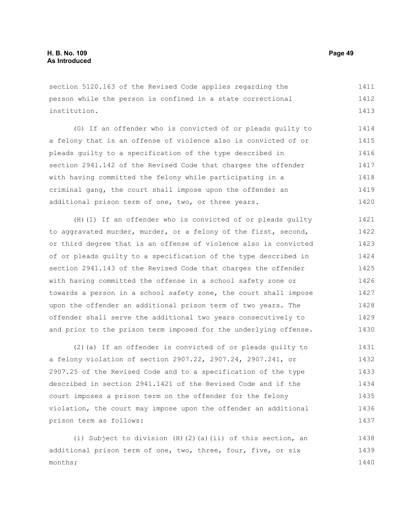section 5120.163 of the Revised Code applies regarding the person while the person is confined in a state correctional institution. 1411 1412 1413

(G) If an offender who is convicted of or pleads guilty to a felony that is an offense of violence also is convicted of or pleads guilty to a specification of the type described in section 2941.142 of the Revised Code that charges the offender with having committed the felony while participating in a criminal gang, the court shall impose upon the offender an additional prison term of one, two, or three years. 1414 1415 1416 1417 1418 1419 1420

(H)(1) If an offender who is convicted of or pleads guilty to aggravated murder, murder, or a felony of the first, second, or third degree that is an offense of violence also is convicted of or pleads guilty to a specification of the type described in section 2941.143 of the Revised Code that charges the offender with having committed the offense in a school safety zone or towards a person in a school safety zone, the court shall impose upon the offender an additional prison term of two years. The offender shall serve the additional two years consecutively to and prior to the prison term imposed for the underlying offense. 1421 1422 1423 1424 1425 1426 1427 1428 1429 1430

(2)(a) If an offender is convicted of or pleads guilty to a felony violation of section 2907.22, 2907.24, 2907.241, or 2907.25 of the Revised Code and to a specification of the type described in section 2941.1421 of the Revised Code and if the court imposes a prison term on the offender for the felony violation, the court may impose upon the offender an additional prison term as follows: 1431 1432 1433 1434 1435 1436 1437

(i) Subject to division (H)(2)(a)(ii) of this section, an additional prison term of one, two, three, four, five, or six months; 1438 1439 1440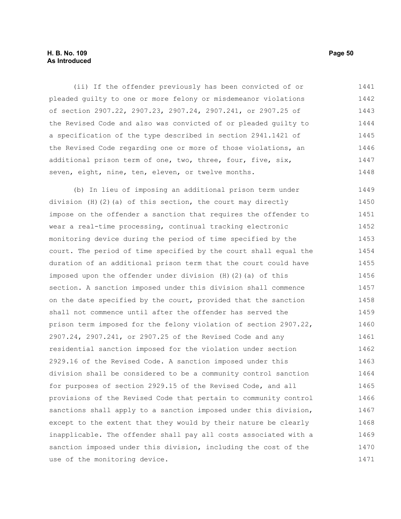#### **H. B. No. 109 Page 50 As Introduced**

(ii) If the offender previously has been convicted of or pleaded guilty to one or more felony or misdemeanor violations of section 2907.22, 2907.23, 2907.24, 2907.241, or 2907.25 of the Revised Code and also was convicted of or pleaded guilty to a specification of the type described in section 2941.1421 of the Revised Code regarding one or more of those violations, an additional prison term of one, two, three, four, five, six, seven, eight, nine, ten, eleven, or twelve months. 1441 1442 1443 1444 1445 1446 1447 1448

(b) In lieu of imposing an additional prison term under division (H)(2)(a) of this section, the court may directly impose on the offender a sanction that requires the offender to wear a real-time processing, continual tracking electronic monitoring device during the period of time specified by the court. The period of time specified by the court shall equal the duration of an additional prison term that the court could have imposed upon the offender under division (H)(2)(a) of this section. A sanction imposed under this division shall commence on the date specified by the court, provided that the sanction shall not commence until after the offender has served the prison term imposed for the felony violation of section 2907.22, 2907.24, 2907.241, or 2907.25 of the Revised Code and any residential sanction imposed for the violation under section 2929.16 of the Revised Code. A sanction imposed under this division shall be considered to be a community control sanction for purposes of section 2929.15 of the Revised Code, and all provisions of the Revised Code that pertain to community control sanctions shall apply to a sanction imposed under this division, except to the extent that they would by their nature be clearly inapplicable. The offender shall pay all costs associated with a sanction imposed under this division, including the cost of the use of the monitoring device. 1449 1450 1451 1452 1453 1454 1455 1456 1457 1458 1459 1460 1461 1462 1463 1464 1465 1466 1467 1468 1469 1470 1471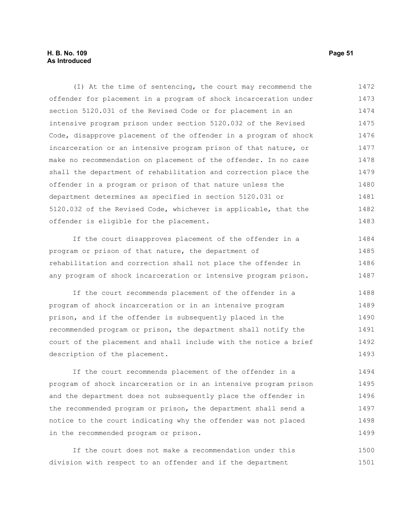#### **H. B. No. 109 Page 51 As Introduced**

(I) At the time of sentencing, the court may recommend the offender for placement in a program of shock incarceration under section 5120.031 of the Revised Code or for placement in an intensive program prison under section 5120.032 of the Revised Code, disapprove placement of the offender in a program of shock incarceration or an intensive program prison of that nature, or make no recommendation on placement of the offender. In no case shall the department of rehabilitation and correction place the offender in a program or prison of that nature unless the department determines as specified in section 5120.031 or 5120.032 of the Revised Code, whichever is applicable, that the offender is eligible for the placement. 1472 1473 1474 1475 1476 1477 1478 1479 1480 1481 1482 1483

If the court disapproves placement of the offender in a program or prison of that nature, the department of rehabilitation and correction shall not place the offender in any program of shock incarceration or intensive program prison. 1484 1485 1486 1487

If the court recommends placement of the offender in a program of shock incarceration or in an intensive program prison, and if the offender is subsequently placed in the recommended program or prison, the department shall notify the court of the placement and shall include with the notice a brief description of the placement. 1488 1489 1490 1491 1492 1493

If the court recommends placement of the offender in a program of shock incarceration or in an intensive program prison and the department does not subsequently place the offender in the recommended program or prison, the department shall send a notice to the court indicating why the offender was not placed in the recommended program or prison. 1494 1495 1496 1497 1498 1499

If the court does not make a recommendation under this division with respect to an offender and if the department 1500 1501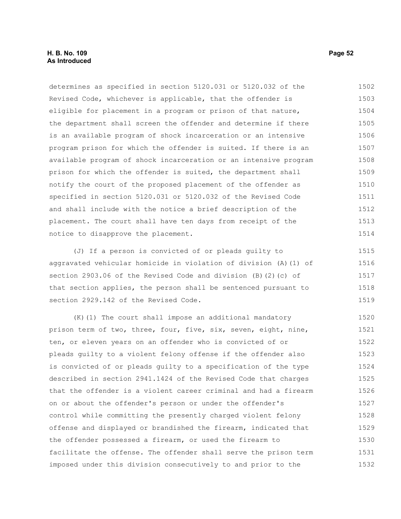determines as specified in section 5120.031 or 5120.032 of the Revised Code, whichever is applicable, that the offender is eligible for placement in a program or prison of that nature, the department shall screen the offender and determine if there is an available program of shock incarceration or an intensive program prison for which the offender is suited. If there is an available program of shock incarceration or an intensive program prison for which the offender is suited, the department shall notify the court of the proposed placement of the offender as specified in section 5120.031 or 5120.032 of the Revised Code and shall include with the notice a brief description of the placement. The court shall have ten days from receipt of the notice to disapprove the placement. 1502 1503 1504 1505 1506 1507 1508 1509 1510 1511 1512 1513 1514

(J) If a person is convicted of or pleads guilty to aggravated vehicular homicide in violation of division (A)(1) of section 2903.06 of the Revised Code and division (B)(2)(c) of that section applies, the person shall be sentenced pursuant to section 2929.142 of the Revised Code. 1515 1516 1517 1518 1519

(K)(1) The court shall impose an additional mandatory prison term of two, three, four, five, six, seven, eight, nine, ten, or eleven years on an offender who is convicted of or pleads guilty to a violent felony offense if the offender also is convicted of or pleads guilty to a specification of the type described in section 2941.1424 of the Revised Code that charges that the offender is a violent career criminal and had a firearm on or about the offender's person or under the offender's control while committing the presently charged violent felony offense and displayed or brandished the firearm, indicated that the offender possessed a firearm, or used the firearm to facilitate the offense. The offender shall serve the prison term imposed under this division consecutively to and prior to the 1520 1521 1522 1523 1524 1525 1526 1527 1528 1529 1530 1531 1532